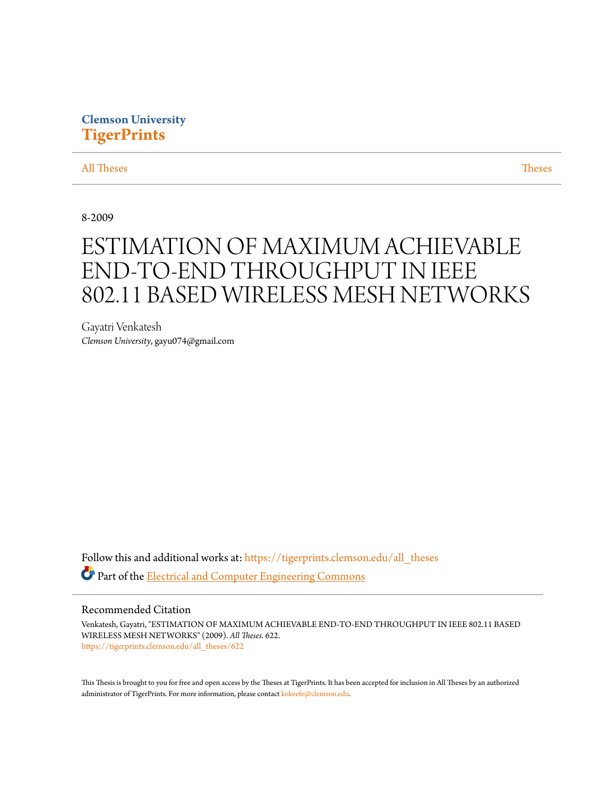## **Clemson University [TigerPrints](https://tigerprints.clemson.edu?utm_source=tigerprints.clemson.edu%2Fall_theses%2F622&utm_medium=PDF&utm_campaign=PDFCoverPages)**

#### [All Theses](https://tigerprints.clemson.edu/all_theses?utm_source=tigerprints.clemson.edu%2Fall_theses%2F622&utm_medium=PDF&utm_campaign=PDFCoverPages) **[Theses](https://tigerprints.clemson.edu/theses?utm_source=tigerprints.clemson.edu%2Fall_theses%2F622&utm_medium=PDF&utm_campaign=PDFCoverPages)**

8-2009

# ESTIMATION OF MAXIMUM ACHIEVABLE END-TO-END THROUGHPUT IN IEEE 802.11 BASED WIRELESS MESH NETWORKS

Gayatri Venkatesh *Clemson University*, gayu074@gmail.com

Follow this and additional works at: [https://tigerprints.clemson.edu/all\\_theses](https://tigerprints.clemson.edu/all_theses?utm_source=tigerprints.clemson.edu%2Fall_theses%2F622&utm_medium=PDF&utm_campaign=PDFCoverPages) Part of the [Electrical and Computer Engineering Commons](http://network.bepress.com/hgg/discipline/266?utm_source=tigerprints.clemson.edu%2Fall_theses%2F622&utm_medium=PDF&utm_campaign=PDFCoverPages)

#### Recommended Citation

Venkatesh, Gayatri, "ESTIMATION OF MAXIMUM ACHIEVABLE END-TO-END THROUGHPUT IN IEEE 802.11 BASED WIRELESS MESH NETWORKS" (2009). *All Theses*. 622. [https://tigerprints.clemson.edu/all\\_theses/622](https://tigerprints.clemson.edu/all_theses/622?utm_source=tigerprints.clemson.edu%2Fall_theses%2F622&utm_medium=PDF&utm_campaign=PDFCoverPages)

This Thesis is brought to you for free and open access by the Theses at TigerPrints. It has been accepted for inclusion in All Theses by an authorized administrator of TigerPrints. For more information, please contact [kokeefe@clemson.edu](mailto:kokeefe@clemson.edu).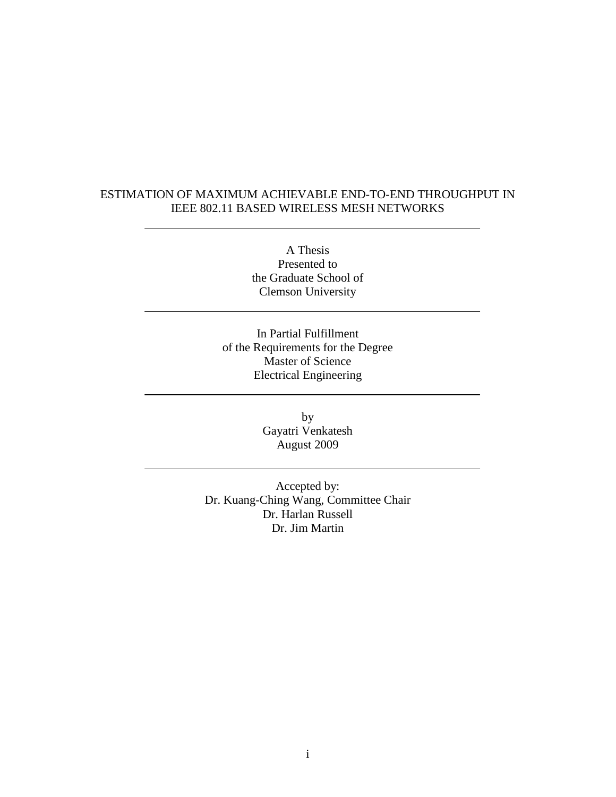### ESTIMATION OF MAXIMUM ACHIEVABLE END-TO-END THROUGHPUT IN IEEE 802.11 BASED WIRELESS MESH NETWORKS

A Thesis Presented to the Graduate School of Clemson University

In Partial Fulfillment of the Requirements for the Degree Master of Science Electrical Engineering

> by Gayatri Venkatesh August 2009

Accepted by: Dr. Kuang-Ching Wang, Committee Chair Dr. Harlan Russell Dr. Jim Martin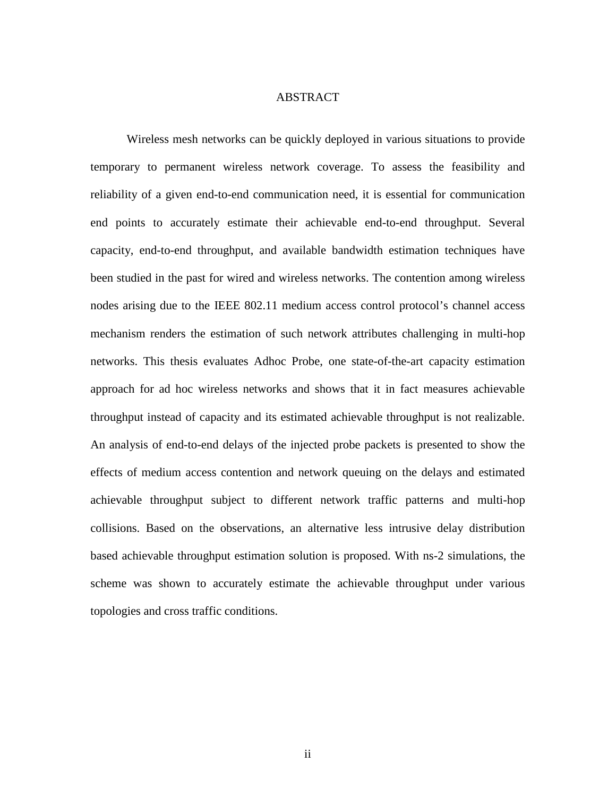#### ABSTRACT

Wireless mesh networks can be quickly deployed in various situations to provide temporary to permanent wireless network coverage. To assess the feasibility and reliability of a given end-to-end communication need, it is essential for communication end points to accurately estimate their achievable end-to-end throughput. Several capacity, end-to-end throughput, and available bandwidth estimation techniques have been studied in the past for wired and wireless networks. The contention among wireless nodes arising due to the IEEE 802.11 medium access control protocol's channel access mechanism renders the estimation of such network attributes challenging in multi-hop networks. This thesis evaluates Adhoc Probe, one state-of-the-art capacity estimation approach for ad hoc wireless networks and shows that it in fact measures achievable throughput instead of capacity and its estimated achievable throughput is not realizable. An analysis of end-to-end delays of the injected probe packets is presented to show the effects of medium access contention and network queuing on the delays and estimated achievable throughput subject to different network traffic patterns and multi-hop collisions. Based on the observations, an alternative less intrusive delay distribution based achievable throughput estimation solution is proposed. With ns-2 simulations, the scheme was shown to accurately estimate the achievable throughput under various topologies and cross traffic conditions.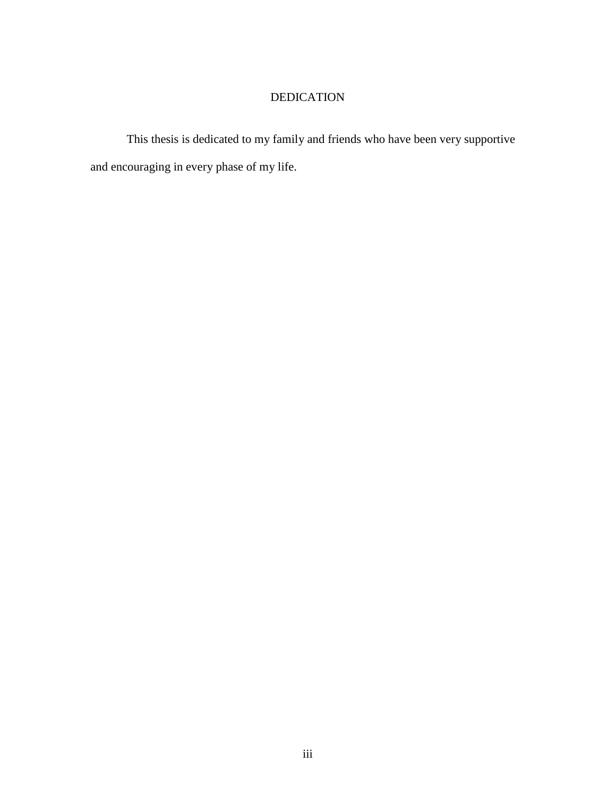## DEDICATION

This thesis is dedicated to my family and friends who have been very supportive and encouraging in every phase of my life.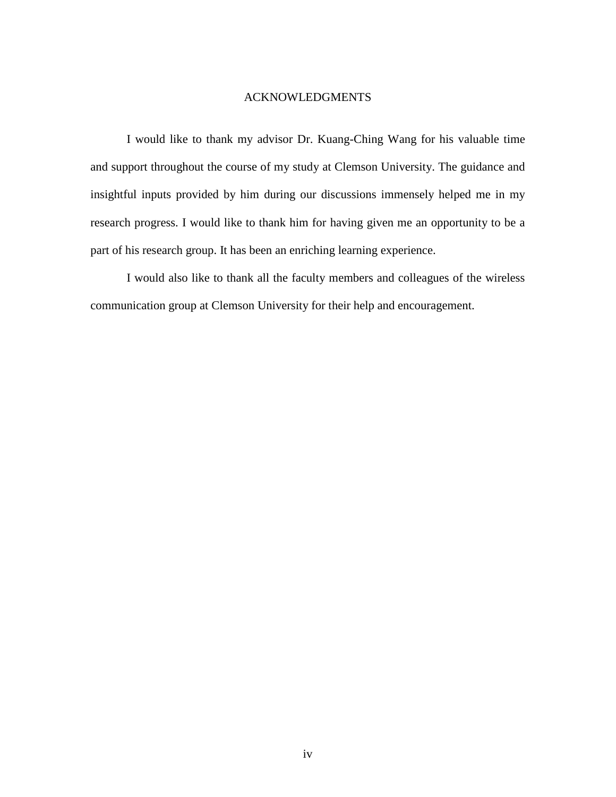#### ACKNOWLEDGMENTS

I would like to thank my advisor Dr. Kuang-Ching Wang for his valuable time and support throughout the course of my study at Clemson University. The guidance and insightful inputs provided by him during our discussions immensely helped me in my research progress. I would like to thank him for having given me an opportunity to be a part of his research group. It has been an enriching learning experience.

I would also like to thank all the faculty members and colleagues of the wireless communication group at Clemson University for their help and encouragement.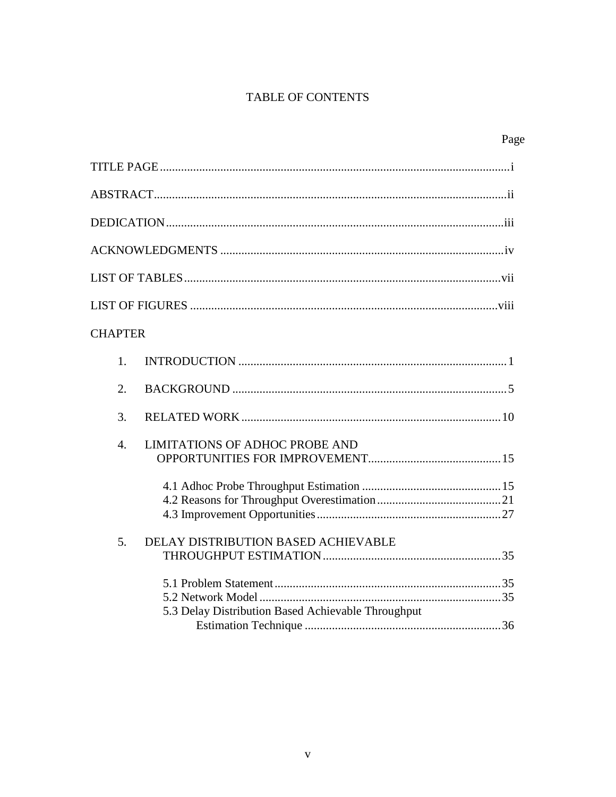## TABLE OF CONTENTS

|                                                           | Page |
|-----------------------------------------------------------|------|
|                                                           |      |
|                                                           |      |
|                                                           |      |
|                                                           |      |
|                                                           |      |
|                                                           |      |
| <b>CHAPTER</b>                                            |      |
| 1.                                                        |      |
| 2.                                                        |      |
| 3.                                                        |      |
| $\overline{4}$ .<br><b>LIMITATIONS OF ADHOC PROBE AND</b> |      |
|                                                           |      |
| 5.<br>DELAY DISTRIBUTION BASED ACHIEVABLE                 |      |
| 5.3 Delay Distribution Based Achievable Throughput        |      |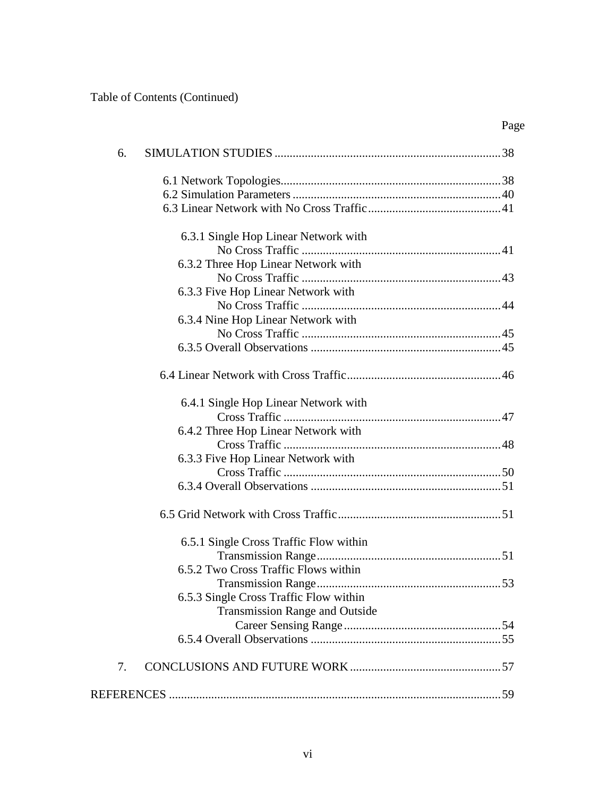Table of Contents (Continued)

| 6. |                                        |  |
|----|----------------------------------------|--|
|    |                                        |  |
|    |                                        |  |
|    |                                        |  |
|    | 6.3.1 Single Hop Linear Network with   |  |
|    |                                        |  |
|    | 6.3.2 Three Hop Linear Network with    |  |
|    |                                        |  |
|    | 6.3.3 Five Hop Linear Network with     |  |
|    |                                        |  |
|    | 6.3.4 Nine Hop Linear Network with     |  |
|    |                                        |  |
|    |                                        |  |
|    |                                        |  |
|    | 6.4.1 Single Hop Linear Network with   |  |
|    |                                        |  |
|    | 6.4.2 Three Hop Linear Network with    |  |
|    |                                        |  |
|    | 6.3.3 Five Hop Linear Network with     |  |
|    |                                        |  |
|    |                                        |  |
|    |                                        |  |
|    | 6.5.1 Single Cross Traffic Flow within |  |
|    |                                        |  |
|    | 6.5.2 Two Cross Traffic Flows within   |  |
|    |                                        |  |
|    | 6.5.3 Single Cross Traffic Flow within |  |
|    | <b>Transmission Range and Outside</b>  |  |
|    |                                        |  |
|    |                                        |  |
| 7. |                                        |  |
|    |                                        |  |

Page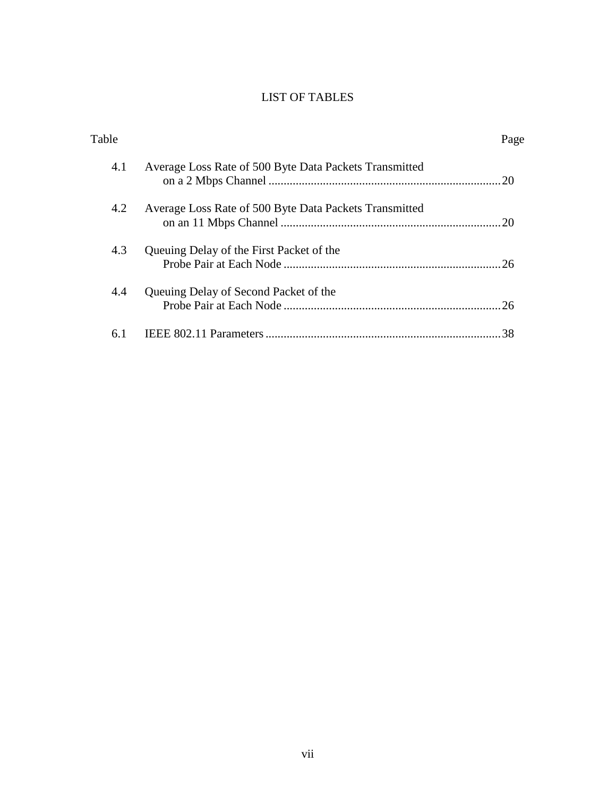## LIST OF TABLES

| Table |                                                        | Page |
|-------|--------------------------------------------------------|------|
| 4.1   | Average Loss Rate of 500 Byte Data Packets Transmitted | -20  |
| 4.2   | Average Loss Rate of 500 Byte Data Packets Transmitted |      |
| 4.3   | Queuing Delay of the First Packet of the               |      |
| 4.4   | Queuing Delay of Second Packet of the                  |      |
| 6.1   |                                                        | 38   |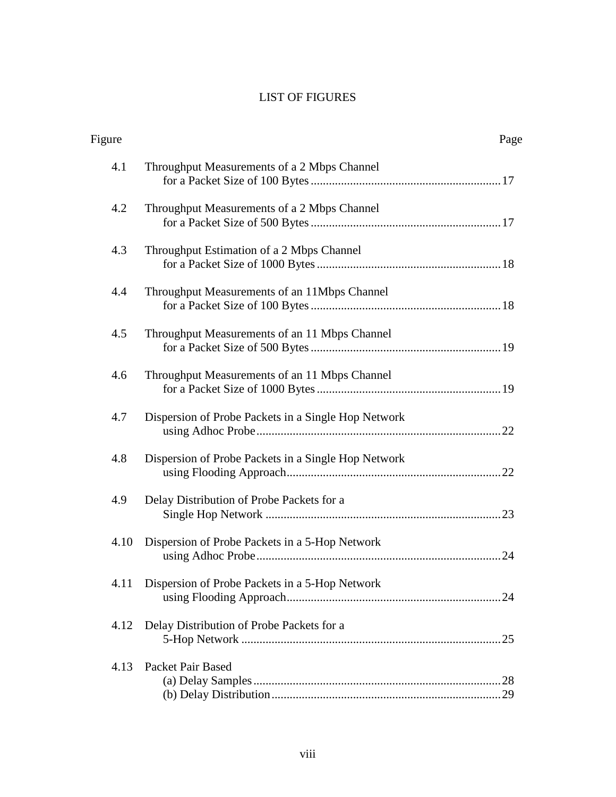### LIST OF FIGURES

| Figure | Page                                                |
|--------|-----------------------------------------------------|
| 4.1    | Throughput Measurements of a 2 Mbps Channel         |
| 4.2    | Throughput Measurements of a 2 Mbps Channel         |
| 4.3    | Throughput Estimation of a 2 Mbps Channel           |
| 4.4    | Throughput Measurements of an 11Mbps Channel        |
| 4.5    | Throughput Measurements of an 11 Mbps Channel       |
| 4.6    | Throughput Measurements of an 11 Mbps Channel       |
| 4.7    | Dispersion of Probe Packets in a Single Hop Network |
| 4.8    | Dispersion of Probe Packets in a Single Hop Network |
| 4.9    | Delay Distribution of Probe Packets for a           |
| 4.10   | Dispersion of Probe Packets in a 5-Hop Network      |
| 4.11   | Dispersion of Probe Packets in a 5-Hop Network      |
| 4.12   | Delay Distribution of Probe Packets for a           |
| 4.13   | Packet Pair Based                                   |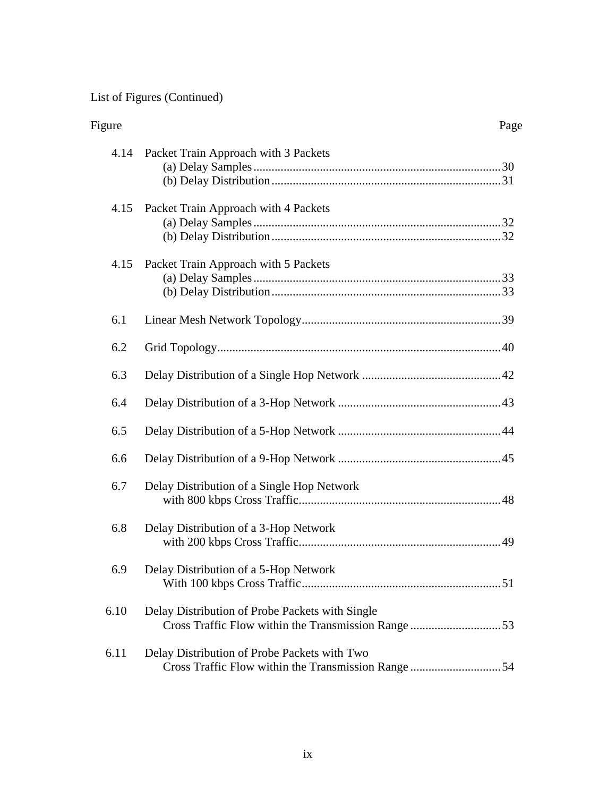List of Figures (Continued)

| Figure |                                                                                                        | Page |
|--------|--------------------------------------------------------------------------------------------------------|------|
| 4.14   | Packet Train Approach with 3 Packets                                                                   |      |
| 4.15   | Packet Train Approach with 4 Packets                                                                   |      |
| 4.15   | Packet Train Approach with 5 Packets                                                                   |      |
| 6.1    |                                                                                                        |      |
| 6.2    |                                                                                                        |      |
| 6.3    |                                                                                                        |      |
| 6.4    |                                                                                                        |      |
| 6.5    |                                                                                                        |      |
| 6.6    |                                                                                                        |      |
| 6.7    | Delay Distribution of a Single Hop Network                                                             |      |
| 6.8    | Delay Distribution of a 3-Hop Network                                                                  |      |
| 6.9    | Delay Distribution of a 5-Hop Network                                                                  |      |
| 6.10   | Delay Distribution of Probe Packets with Single<br>Cross Traffic Flow within the Transmission Range 53 |      |
| 6.11   | Delay Distribution of Probe Packets with Two<br>Cross Traffic Flow within the Transmission Range 54    |      |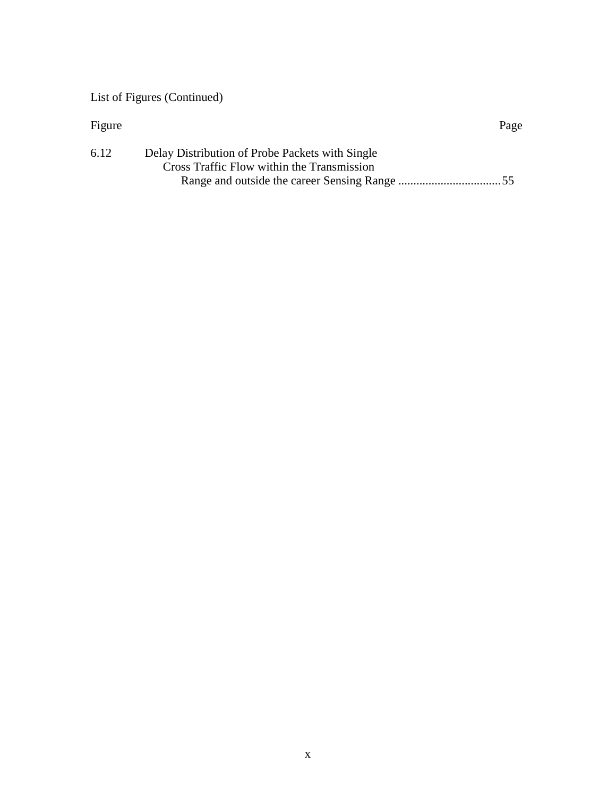## List of Figures (Continued)

| Figure |                                                                                               | Page |
|--------|-----------------------------------------------------------------------------------------------|------|
| 6.12   | Delay Distribution of Probe Packets with Single<br>Cross Traffic Flow within the Transmission |      |
|        |                                                                                               |      |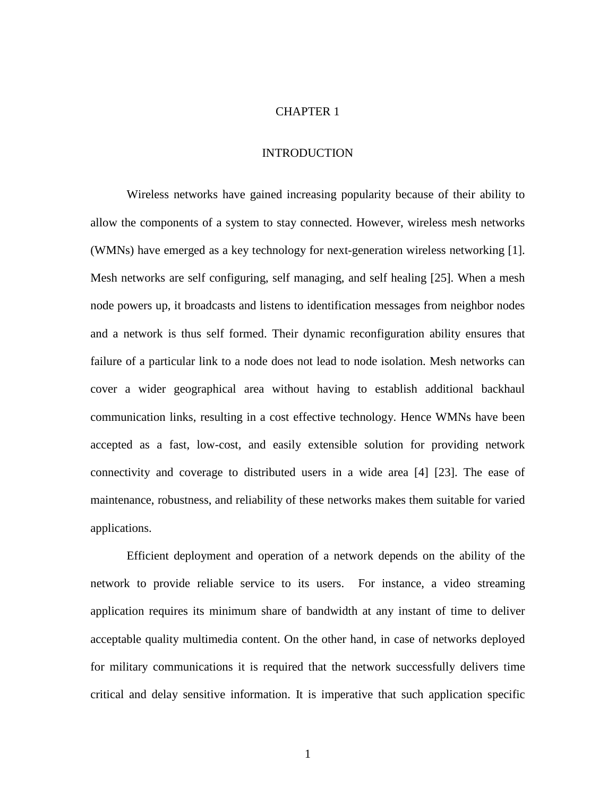#### CHAPTER 1

#### INTRODUCTION

Wireless networks have gained increasing popularity because of their ability to allow the components of a system to stay connected. However, wireless mesh networks (WMNs) have emerged as a key technology for next-generation wireless networking [1]. Mesh networks are self configuring, self managing, and self healing [25]. When a mesh node powers up, it broadcasts and listens to identification messages from neighbor nodes and a network is thus self formed. Their dynamic reconfiguration ability ensures that failure of a particular link to a node does not lead to node isolation. Mesh networks can cover a wider geographical area without having to establish additional backhaul communication links, resulting in a cost effective technology. Hence WMNs have been accepted as a fast, low-cost, and easily extensible solution for providing network connectivity and coverage to distributed users in a wide area [4] [23]. The ease of maintenance, robustness, and reliability of these networks makes them suitable for varied applications.

Efficient deployment and operation of a network depends on the ability of the network to provide reliable service to its users. For instance, a video streaming application requires its minimum share of bandwidth at any instant of time to deliver acceptable quality multimedia content. On the other hand, in case of networks deployed for military communications it is required that the network successfully delivers time critical and delay sensitive information. It is imperative that such application specific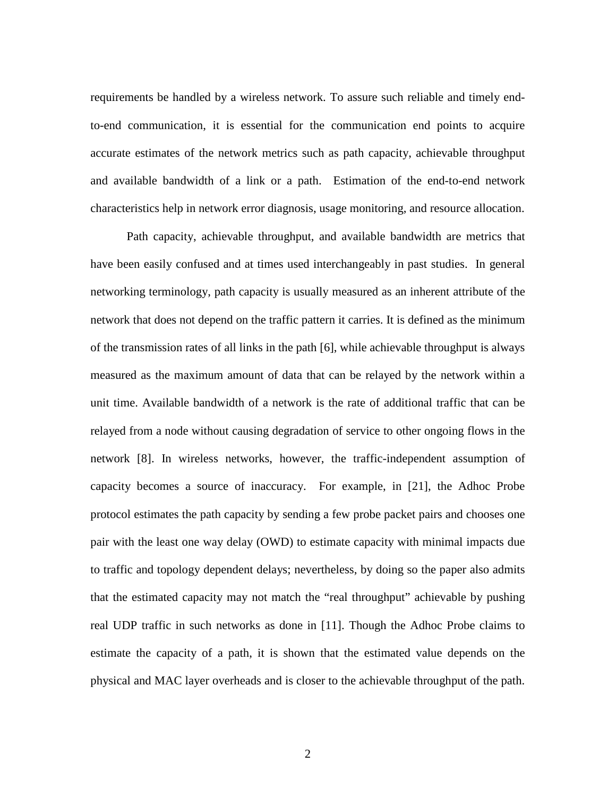requirements be handled by a wireless network. To assure such reliable and timely endto-end communication, it is essential for the communication end points to acquire accurate estimates of the network metrics such as path capacity, achievable throughput and available bandwidth of a link or a path. Estimation of the end-to-end network characteristics help in network error diagnosis, usage monitoring, and resource allocation.

Path capacity, achievable throughput, and available bandwidth are metrics that have been easily confused and at times used interchangeably in past studies. In general networking terminology, path capacity is usually measured as an inherent attribute of the network that does not depend on the traffic pattern it carries. It is defined as the minimum of the transmission rates of all links in the path [6], while achievable throughput is always measured as the maximum amount of data that can be relayed by the network within a unit time. Available bandwidth of a network is the rate of additional traffic that can be relayed from a node without causing degradation of service to other ongoing flows in the network [8]. In wireless networks, however, the traffic-independent assumption of capacity becomes a source of inaccuracy. For example, in [21], the Adhoc Probe protocol estimates the path capacity by sending a few probe packet pairs and chooses one pair with the least one way delay (OWD) to estimate capacity with minimal impacts due to traffic and topology dependent delays; nevertheless, by doing so the paper also admits that the estimated capacity may not match the "real throughput" achievable by pushing real UDP traffic in such networks as done in [11]. Though the Adhoc Probe claims to estimate the capacity of a path, it is shown that the estimated value depends on the physical and MAC layer overheads and is closer to the achievable throughput of the path.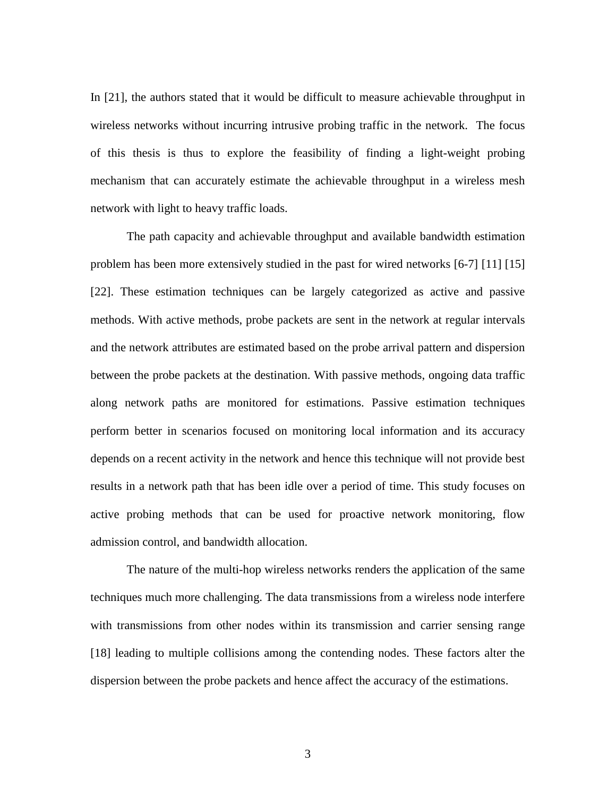In [21], the authors stated that it would be difficult to measure achievable throughput in wireless networks without incurring intrusive probing traffic in the network. The focus of this thesis is thus to explore the feasibility of finding a light-weight probing mechanism that can accurately estimate the achievable throughput in a wireless mesh network with light to heavy traffic loads.

The path capacity and achievable throughput and available bandwidth estimation problem has been more extensively studied in the past for wired networks [6-7] [11] [15] [22]. These estimation techniques can be largely categorized as active and passive methods. With active methods, probe packets are sent in the network at regular intervals and the network attributes are estimated based on the probe arrival pattern and dispersion between the probe packets at the destination. With passive methods, ongoing data traffic along network paths are monitored for estimations. Passive estimation techniques perform better in scenarios focused on monitoring local information and its accuracy depends on a recent activity in the network and hence this technique will not provide best results in a network path that has been idle over a period of time. This study focuses on active probing methods that can be used for proactive network monitoring, flow admission control, and bandwidth allocation.

The nature of the multi-hop wireless networks renders the application of the same techniques much more challenging. The data transmissions from a wireless node interfere with transmissions from other nodes within its transmission and carrier sensing range [18] leading to multiple collisions among the contending nodes. These factors alter the dispersion between the probe packets and hence affect the accuracy of the estimations.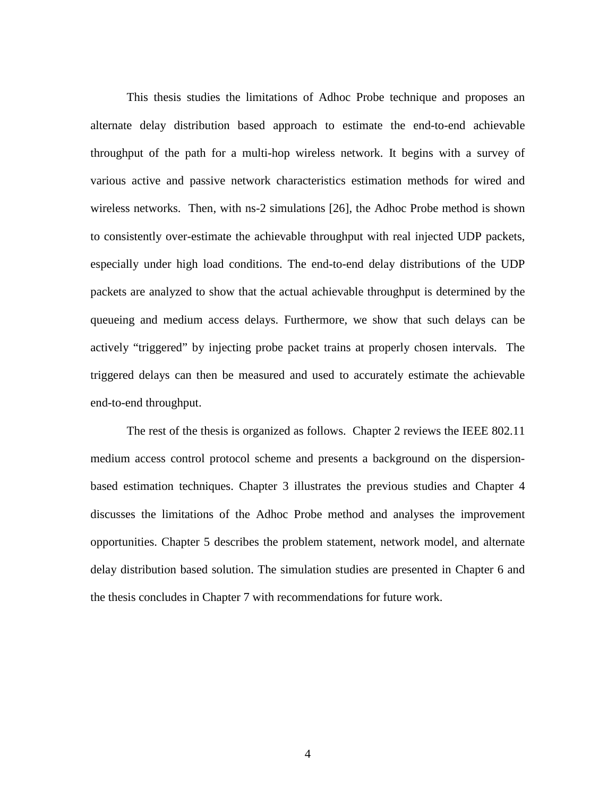This thesis studies the limitations of Adhoc Probe technique and proposes an alternate delay distribution based approach to estimate the end-to-end achievable throughput of the path for a multi-hop wireless network. It begins with a survey of various active and passive network characteristics estimation methods for wired and wireless networks. Then, with ns-2 simulations [26], the Adhoc Probe method is shown to consistently over-estimate the achievable throughput with real injected UDP packets, especially under high load conditions. The end-to-end delay distributions of the UDP packets are analyzed to show that the actual achievable throughput is determined by the queueing and medium access delays. Furthermore, we show that such delays can be actively "triggered" by injecting probe packet trains at properly chosen intervals. The triggered delays can then be measured and used to accurately estimate the achievable end-to-end throughput.

The rest of the thesis is organized as follows. Chapter 2 reviews the IEEE 802.11 medium access control protocol scheme and presents a background on the dispersionbased estimation techniques. Chapter 3 illustrates the previous studies and Chapter 4 discusses the limitations of the Adhoc Probe method and analyses the improvement opportunities. Chapter 5 describes the problem statement, network model, and alternate delay distribution based solution. The simulation studies are presented in Chapter 6 and the thesis concludes in Chapter 7 with recommendations for future work.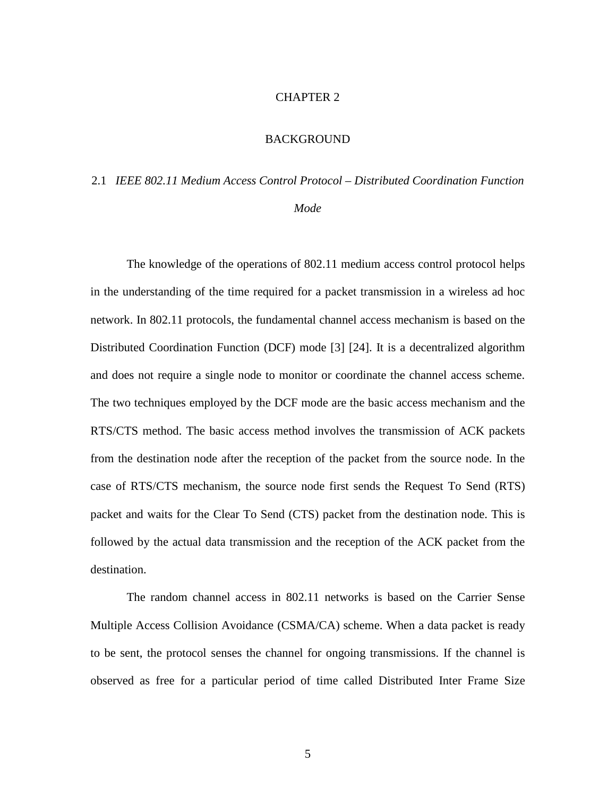#### CHAPTER 2

#### BACKGROUND

## 2.1 *IEEE 802.11 Medium Access Control Protocol – Distributed Coordination Function Mode*

The knowledge of the operations of 802.11 medium access control protocol helps in the understanding of the time required for a packet transmission in a wireless ad hoc network. In 802.11 protocols, the fundamental channel access mechanism is based on the Distributed Coordination Function (DCF) mode [3] [24]. It is a decentralized algorithm and does not require a single node to monitor or coordinate the channel access scheme. The two techniques employed by the DCF mode are the basic access mechanism and the RTS/CTS method. The basic access method involves the transmission of ACK packets from the destination node after the reception of the packet from the source node. In the case of RTS/CTS mechanism, the source node first sends the Request To Send (RTS) packet and waits for the Clear To Send (CTS) packet from the destination node. This is followed by the actual data transmission and the reception of the ACK packet from the destination.

The random channel access in 802.11 networks is based on the Carrier Sense Multiple Access Collision Avoidance (CSMA/CA) scheme. When a data packet is ready to be sent, the protocol senses the channel for ongoing transmissions. If the channel is observed as free for a particular period of time called Distributed Inter Frame Size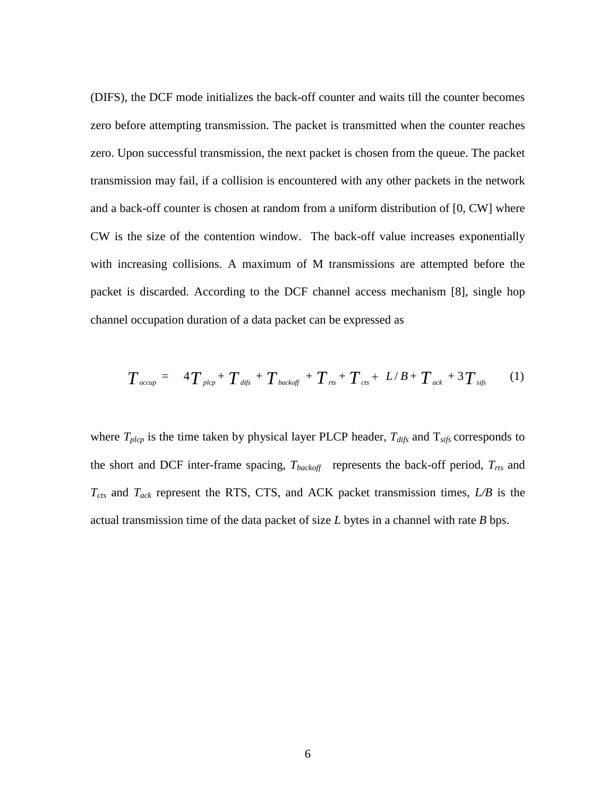(DIFS), the DCF mode initializes the back-off counter and waits till the counter becomes zero before attempting transmission. The packet is transmitted when the counter reaches zero. Upon successful transmission, the next packet is chosen from the queue. The packet transmission may fail, if a collision is encountered with any other packets in the network and a back-off counter is chosen at random from a uniform distribution of [0, CW] where CW is the size of the contention window. The back-off value increases exponentially with increasing collisions. A maximum of M transmissions are attempted before the packet is discarded. According to the DCF channel access mechanism [8], single hop channel occupation duration of a data packet can be expressed as

$$
T_{\text{occup}} = 4T_{\text{plcp}} + T_{\text{diff}} + T_{\text{backoff}} + T_{\text{rst}} + T_{\text{cts}} + L/B + T_{\text{ack}} + 3T_{\text{stfs}}
$$
 (1)

where *Tplcp* is the time taken by physical layer PLCP header, *Tdifs* and T*sifs* corresponds to the short and DCF inter-frame spacing,  $T_{\text{backoff}}$  represents the back-off period,  $T_{\text{rts}}$  and *Tcts* and *Tack* represent the RTS, CTS, and ACK packet transmission times, *L/B* is the actual transmission time of the data packet of size *L* bytes in a channel with rate *B* bps.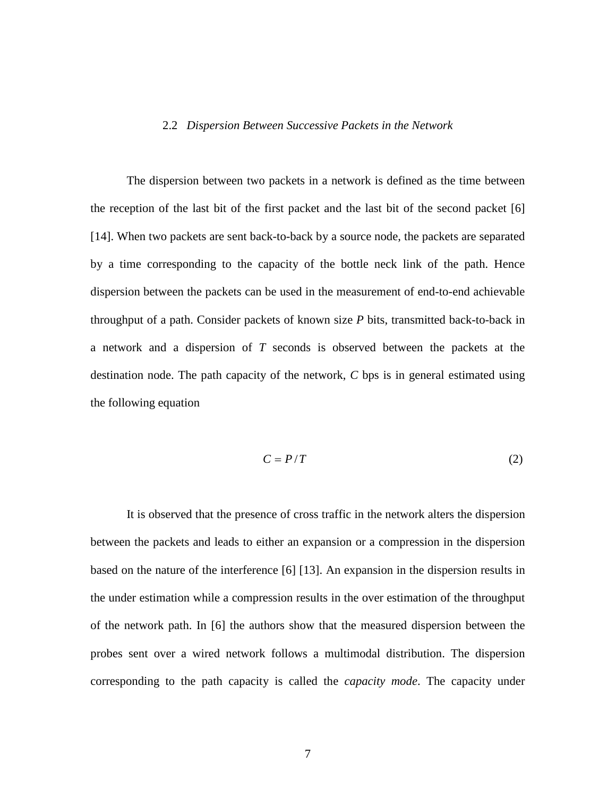#### 2.2 *Dispersion Between Successive Packets in the Network*

The dispersion between two packets in a network is defined as the time between the reception of the last bit of the first packet and the last bit of the second packet [6] [14]. When two packets are sent back-to-back by a source node, the packets are separated by a time corresponding to the capacity of the bottle neck link of the path. Hence dispersion between the packets can be used in the measurement of end-to-end achievable throughput of a path. Consider packets of known size *P* bits, transmitted back-to-back in a network and a dispersion of *T* seconds is observed between the packets at the destination node. The path capacity of the network, *C* bps is in general estimated using the following equation

$$
C = P/T \tag{2}
$$

It is observed that the presence of cross traffic in the network alters the dispersion between the packets and leads to either an expansion or a compression in the dispersion based on the nature of the interference [6] [13]. An expansion in the dispersion results in the under estimation while a compression results in the over estimation of the throughput of the network path. In [6] the authors show that the measured dispersion between the probes sent over a wired network follows a multimodal distribution. The dispersion corresponding to the path capacity is called the *capacity mode*. The capacity under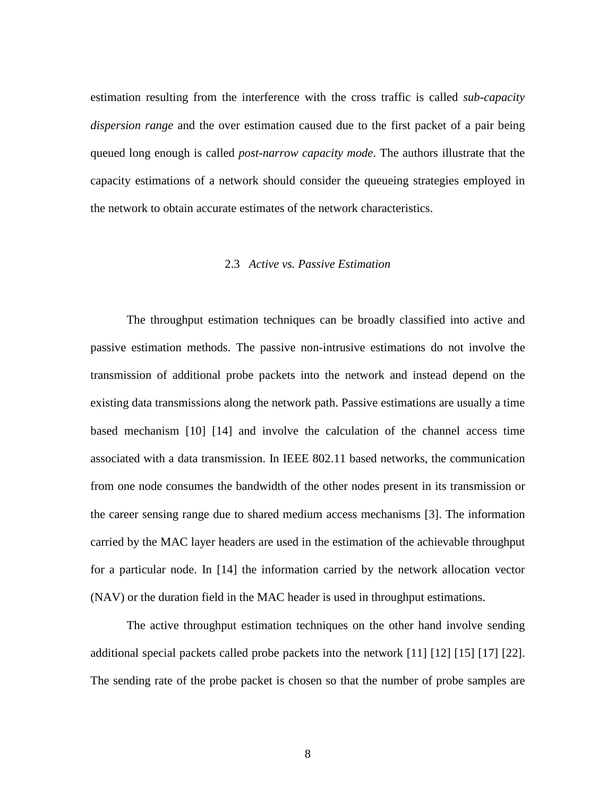estimation resulting from the interference with the cross traffic is called *sub-capacity dispersion range* and the over estimation caused due to the first packet of a pair being queued long enough is called *post-narrow capacity mode*. The authors illustrate that the capacity estimations of a network should consider the queueing strategies employed in the network to obtain accurate estimates of the network characteristics.

#### 2.3 *Active vs. Passive Estimation*

The throughput estimation techniques can be broadly classified into active and passive estimation methods. The passive non-intrusive estimations do not involve the transmission of additional probe packets into the network and instead depend on the existing data transmissions along the network path. Passive estimations are usually a time based mechanism [10] [14] and involve the calculation of the channel access time associated with a data transmission. In IEEE 802.11 based networks, the communication from one node consumes the bandwidth of the other nodes present in its transmission or the career sensing range due to shared medium access mechanisms [3]. The information carried by the MAC layer headers are used in the estimation of the achievable throughput for a particular node. In [14] the information carried by the network allocation vector (NAV) or the duration field in the MAC header is used in throughput estimations.

The active throughput estimation techniques on the other hand involve sending additional special packets called probe packets into the network [11] [12] [15] [17] [22]. The sending rate of the probe packet is chosen so that the number of probe samples are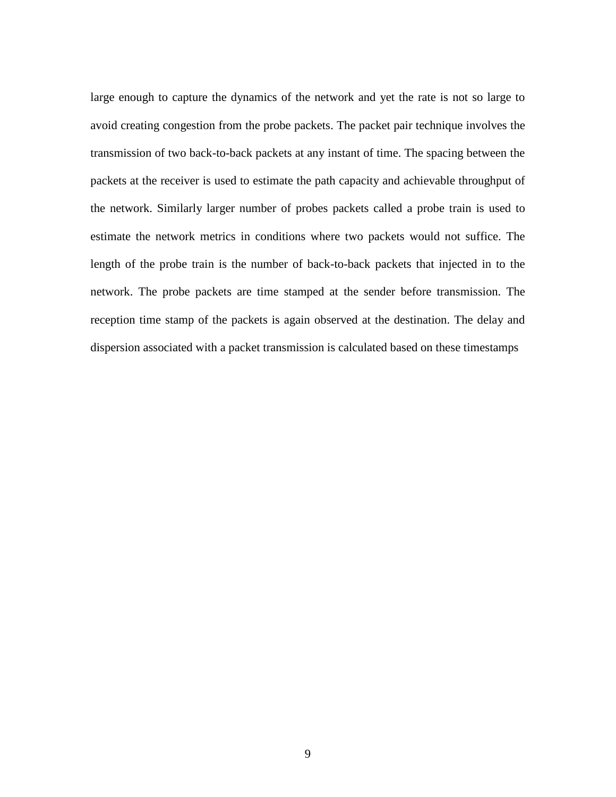large enough to capture the dynamics of the network and yet the rate is not so large to avoid creating congestion from the probe packets. The packet pair technique involves the transmission of two back-to-back packets at any instant of time. The spacing between the packets at the receiver is used to estimate the path capacity and achievable throughput of the network. Similarly larger number of probes packets called a probe train is used to estimate the network metrics in conditions where two packets would not suffice. The length of the probe train is the number of back-to-back packets that injected in to the network. The probe packets are time stamped at the sender before transmission. The reception time stamp of the packets is again observed at the destination. The delay and dispersion associated with a packet transmission is calculated based on these timestamps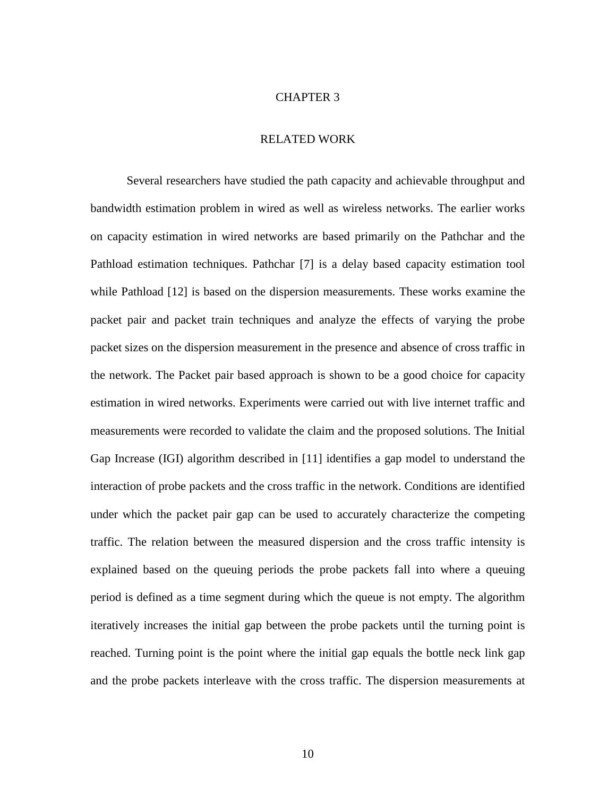#### CHAPTER 3

#### RELATED WORK

Several researchers have studied the path capacity and achievable throughput and bandwidth estimation problem in wired as well as wireless networks. The earlier works on capacity estimation in wired networks are based primarily on the Pathchar and the Pathload estimation techniques. Pathchar [7] is a delay based capacity estimation tool while Pathload [12] is based on the dispersion measurements. These works examine the packet pair and packet train techniques and analyze the effects of varying the probe packet sizes on the dispersion measurement in the presence and absence of cross traffic in the network. The Packet pair based approach is shown to be a good choice for capacity estimation in wired networks. Experiments were carried out with live internet traffic and measurements were recorded to validate the claim and the proposed solutions. The Initial Gap Increase (IGI) algorithm described in [11] identifies a gap model to understand the interaction of probe packets and the cross traffic in the network. Conditions are identified under which the packet pair gap can be used to accurately characterize the competing traffic. The relation between the measured dispersion and the cross traffic intensity is explained based on the queuing periods the probe packets fall into where a queuing period is defined as a time segment during which the queue is not empty. The algorithm iteratively increases the initial gap between the probe packets until the turning point is reached. Turning point is the point where the initial gap equals the bottle neck link gap and the probe packets interleave with the cross traffic. The dispersion measurements at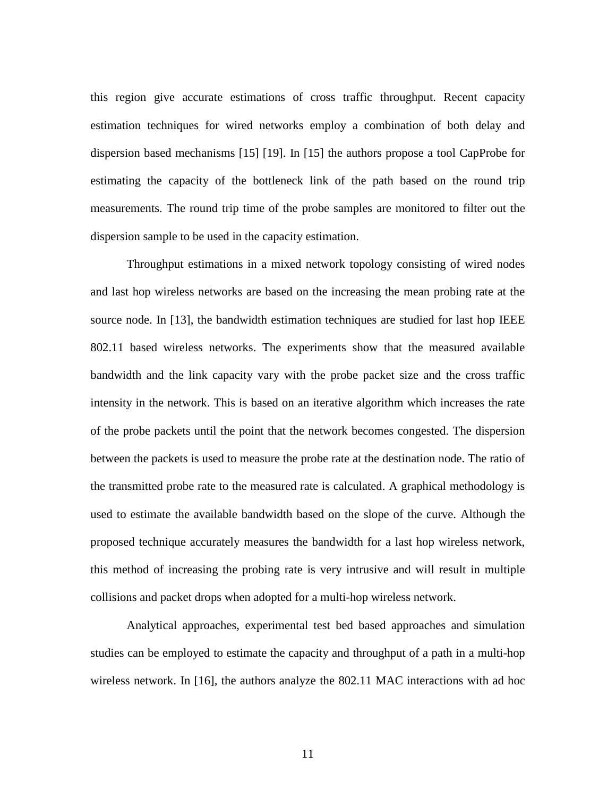this region give accurate estimations of cross traffic throughput. Recent capacity estimation techniques for wired networks employ a combination of both delay and dispersion based mechanisms [15] [19]. In [15] the authors propose a tool CapProbe for estimating the capacity of the bottleneck link of the path based on the round trip measurements. The round trip time of the probe samples are monitored to filter out the dispersion sample to be used in the capacity estimation.

Throughput estimations in a mixed network topology consisting of wired nodes and last hop wireless networks are based on the increasing the mean probing rate at the source node. In [13], the bandwidth estimation techniques are studied for last hop IEEE 802.11 based wireless networks. The experiments show that the measured available bandwidth and the link capacity vary with the probe packet size and the cross traffic intensity in the network. This is based on an iterative algorithm which increases the rate of the probe packets until the point that the network becomes congested. The dispersion between the packets is used to measure the probe rate at the destination node. The ratio of the transmitted probe rate to the measured rate is calculated. A graphical methodology is used to estimate the available bandwidth based on the slope of the curve. Although the proposed technique accurately measures the bandwidth for a last hop wireless network, this method of increasing the probing rate is very intrusive and will result in multiple collisions and packet drops when adopted for a multi-hop wireless network.

 Analytical approaches, experimental test bed based approaches and simulation studies can be employed to estimate the capacity and throughput of a path in a multi-hop wireless network. In [16], the authors analyze the 802.11 MAC interactions with ad hoc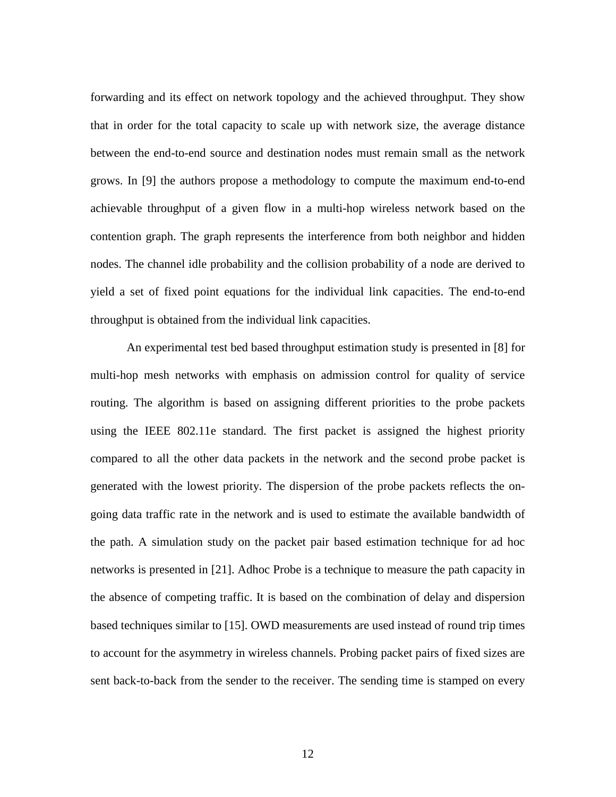forwarding and its effect on network topology and the achieved throughput. They show that in order for the total capacity to scale up with network size, the average distance between the end-to-end source and destination nodes must remain small as the network grows. In [9] the authors propose a methodology to compute the maximum end-to-end achievable throughput of a given flow in a multi-hop wireless network based on the contention graph. The graph represents the interference from both neighbor and hidden nodes. The channel idle probability and the collision probability of a node are derived to yield a set of fixed point equations for the individual link capacities. The end-to-end throughput is obtained from the individual link capacities.

An experimental test bed based throughput estimation study is presented in [8] for multi-hop mesh networks with emphasis on admission control for quality of service routing. The algorithm is based on assigning different priorities to the probe packets using the IEEE 802.11e standard. The first packet is assigned the highest priority compared to all the other data packets in the network and the second probe packet is generated with the lowest priority. The dispersion of the probe packets reflects the ongoing data traffic rate in the network and is used to estimate the available bandwidth of the path. A simulation study on the packet pair based estimation technique for ad hoc networks is presented in [21]. Adhoc Probe is a technique to measure the path capacity in the absence of competing traffic. It is based on the combination of delay and dispersion based techniques similar to [15]. OWD measurements are used instead of round trip times to account for the asymmetry in wireless channels. Probing packet pairs of fixed sizes are sent back-to-back from the sender to the receiver. The sending time is stamped on every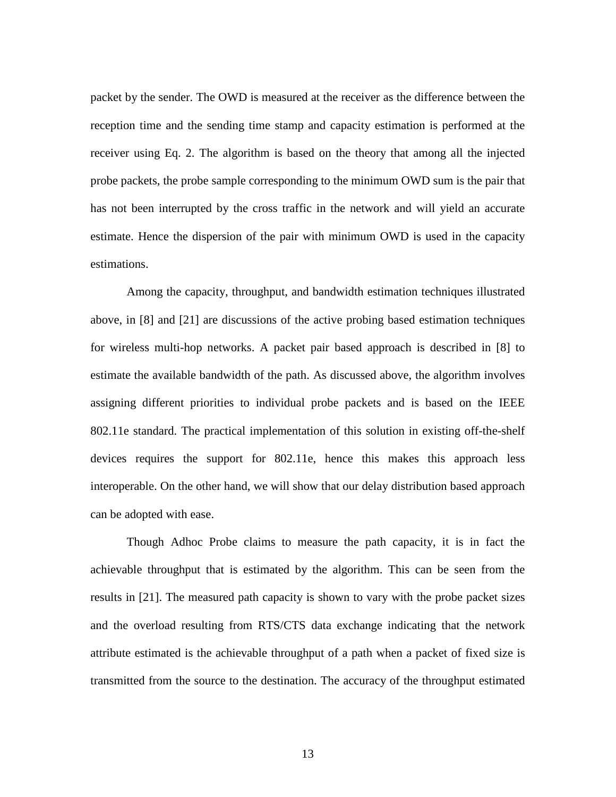packet by the sender. The OWD is measured at the receiver as the difference between the reception time and the sending time stamp and capacity estimation is performed at the receiver using Eq. 2. The algorithm is based on the theory that among all the injected probe packets, the probe sample corresponding to the minimum OWD sum is the pair that has not been interrupted by the cross traffic in the network and will yield an accurate estimate. Hence the dispersion of the pair with minimum OWD is used in the capacity estimations.

Among the capacity, throughput, and bandwidth estimation techniques illustrated above, in [8] and [21] are discussions of the active probing based estimation techniques for wireless multi-hop networks. A packet pair based approach is described in [8] to estimate the available bandwidth of the path. As discussed above, the algorithm involves assigning different priorities to individual probe packets and is based on the IEEE 802.11e standard. The practical implementation of this solution in existing off-the-shelf devices requires the support for 802.11e, hence this makes this approach less interoperable. On the other hand, we will show that our delay distribution based approach can be adopted with ease.

Though Adhoc Probe claims to measure the path capacity, it is in fact the achievable throughput that is estimated by the algorithm. This can be seen from the results in [21]. The measured path capacity is shown to vary with the probe packet sizes and the overload resulting from RTS/CTS data exchange indicating that the network attribute estimated is the achievable throughput of a path when a packet of fixed size is transmitted from the source to the destination. The accuracy of the throughput estimated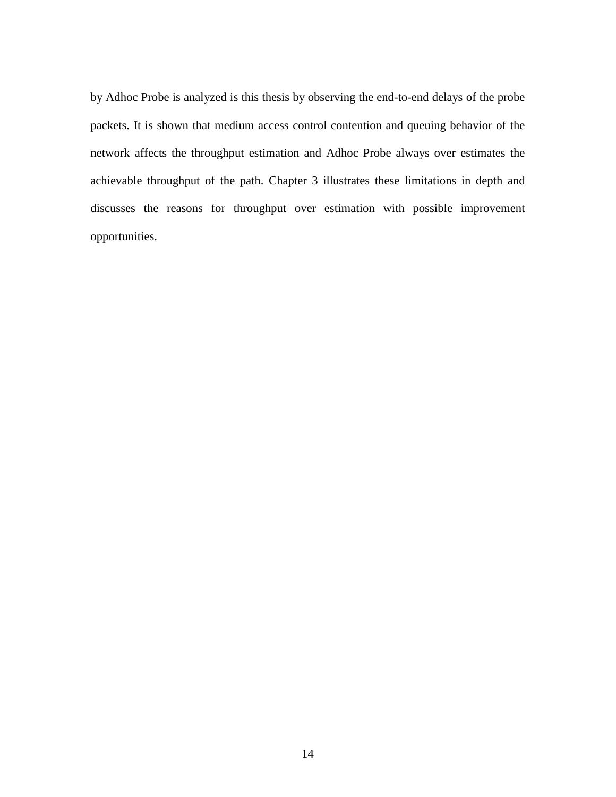by Adhoc Probe is analyzed is this thesis by observing the end-to-end delays of the probe packets. It is shown that medium access control contention and queuing behavior of the network affects the throughput estimation and Adhoc Probe always over estimates the achievable throughput of the path. Chapter 3 illustrates these limitations in depth and discusses the reasons for throughput over estimation with possible improvement opportunities.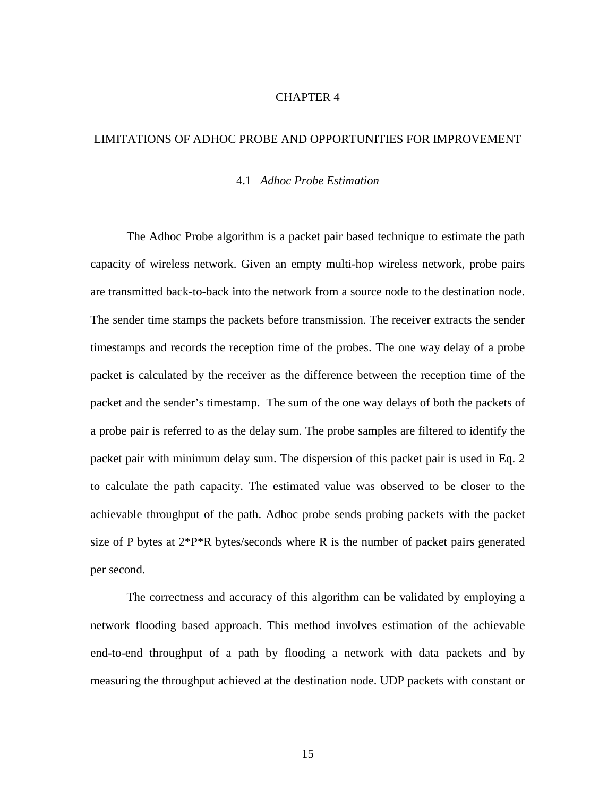#### CHAPTER 4

#### LIMITATIONS OF ADHOC PROBE AND OPPORTUNITIES FOR IMPROVEMENT

#### 4.1 *Adhoc Probe Estimation*

The Adhoc Probe algorithm is a packet pair based technique to estimate the path capacity of wireless network. Given an empty multi-hop wireless network, probe pairs are transmitted back-to-back into the network from a source node to the destination node. The sender time stamps the packets before transmission. The receiver extracts the sender timestamps and records the reception time of the probes. The one way delay of a probe packet is calculated by the receiver as the difference between the reception time of the packet and the sender's timestamp. The sum of the one way delays of both the packets of a probe pair is referred to as the delay sum. The probe samples are filtered to identify the packet pair with minimum delay sum. The dispersion of this packet pair is used in Eq. 2 to calculate the path capacity. The estimated value was observed to be closer to the achievable throughput of the path. Adhoc probe sends probing packets with the packet size of P bytes at  $2*P*R$  bytes/seconds where R is the number of packet pairs generated per second.

The correctness and accuracy of this algorithm can be validated by employing a network flooding based approach. This method involves estimation of the achievable end-to-end throughput of a path by flooding a network with data packets and by measuring the throughput achieved at the destination node. UDP packets with constant or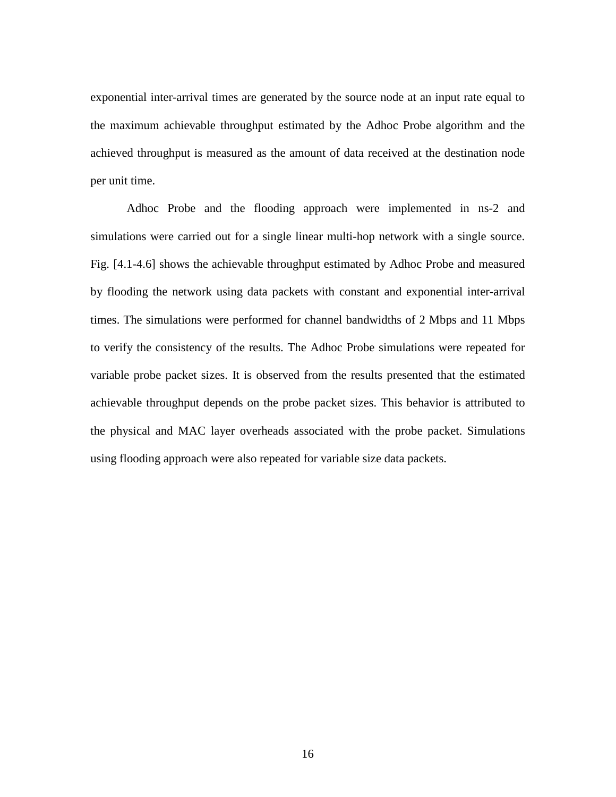exponential inter-arrival times are generated by the source node at an input rate equal to the maximum achievable throughput estimated by the Adhoc Probe algorithm and the achieved throughput is measured as the amount of data received at the destination node per unit time.

Adhoc Probe and the flooding approach were implemented in ns-2 and simulations were carried out for a single linear multi-hop network with a single source. Fig. [4.1-4.6] shows the achievable throughput estimated by Adhoc Probe and measured by flooding the network using data packets with constant and exponential inter-arrival times. The simulations were performed for channel bandwidths of 2 Mbps and 11 Mbps to verify the consistency of the results. The Adhoc Probe simulations were repeated for variable probe packet sizes. It is observed from the results presented that the estimated achievable throughput depends on the probe packet sizes. This behavior is attributed to the physical and MAC layer overheads associated with the probe packet. Simulations using flooding approach were also repeated for variable size data packets.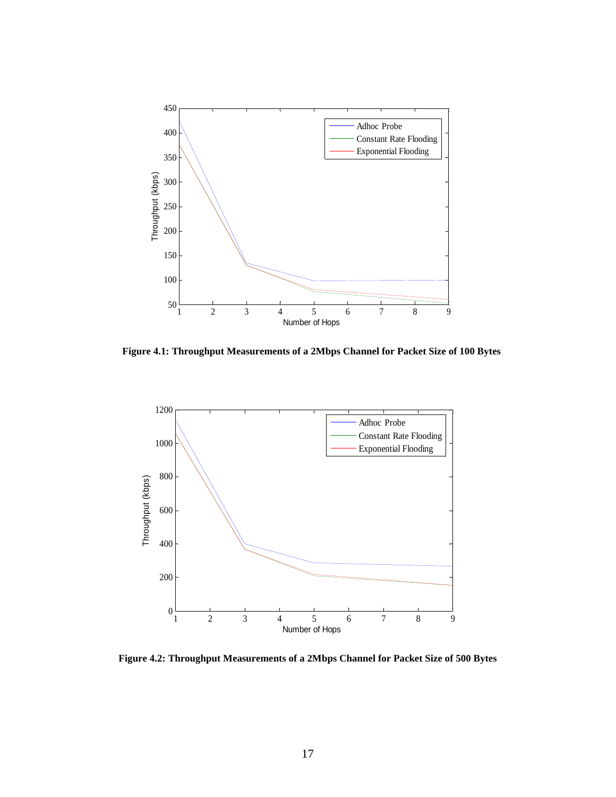

**Figure 4.1: Throughput Measurements of a 2Mbps Channel for Packet Size of 100 Bytes** 



**Figure 4.2: Throughput Measurements of a 2Mbps Channel for Packet Size of 500 Bytes**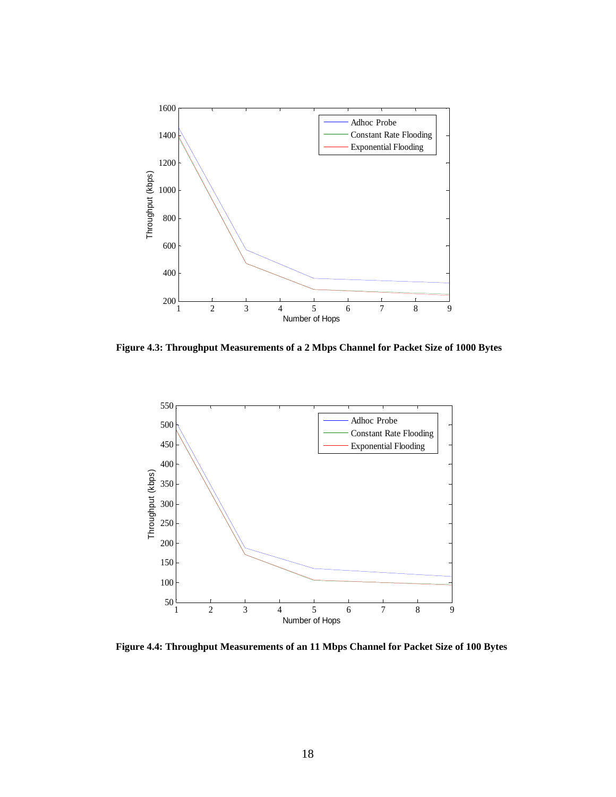

**Figure 4.3: Throughput Measurements of a 2 Mbps Channel for Packet Size of 1000 Bytes**



**Figure 4.4: Throughput Measurements of an 11 Mbps Channel for Packet Size of 100 Bytes**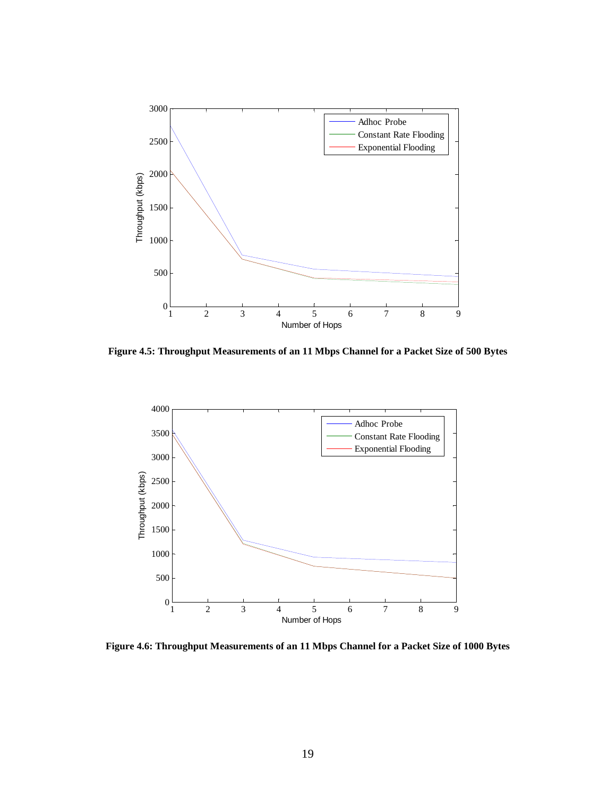

**Figure 4.5: Throughput Measurements of an 11 Mbps Channel for a Packet Size of 500 Bytes**



**Figure 4.6: Throughput Measurements of an 11 Mbps Channel for a Packet Size of 1000 Bytes**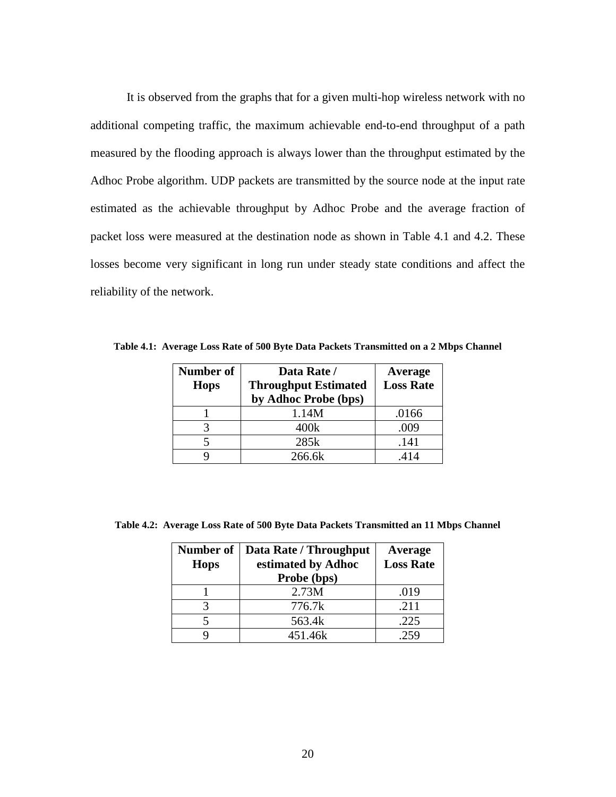It is observed from the graphs that for a given multi-hop wireless network with no additional competing traffic, the maximum achievable end-to-end throughput of a path measured by the flooding approach is always lower than the throughput estimated by the Adhoc Probe algorithm. UDP packets are transmitted by the source node at the input rate estimated as the achievable throughput by Adhoc Probe and the average fraction of packet loss were measured at the destination node as shown in Table 4.1 and 4.2. These losses become very significant in long run under steady state conditions and affect the reliability of the network.

**Table 4.1: Average Loss Rate of 500 Byte Data Packets Transmitted on a 2 Mbps Channel** 

| Number of<br><b>Hops</b> | Data Rate /<br><b>Throughput Estimated</b><br>by Adhoc Probe (bps) | Average<br><b>Loss Rate</b> |
|--------------------------|--------------------------------------------------------------------|-----------------------------|
|                          | 1.14M                                                              | .0166                       |
|                          | 400k                                                               | .009                        |
|                          | 285k                                                               | .141                        |
|                          | 266.6k                                                             | 414                         |

| Number of   | Data Rate / Throughput            | Average<br><b>Loss Rate</b> |
|-------------|-----------------------------------|-----------------------------|
| <b>Hops</b> | estimated by Adhoc<br>Probe (bps) |                             |
|             | 2.73M                             | .019                        |
|             | 776.7k                            | .211                        |
|             | 563.4k                            | .225                        |
|             | 451.46k                           | 259                         |

**Table 4.2: Average Loss Rate of 500 Byte Data Packets Transmitted an 11 Mbps Channel**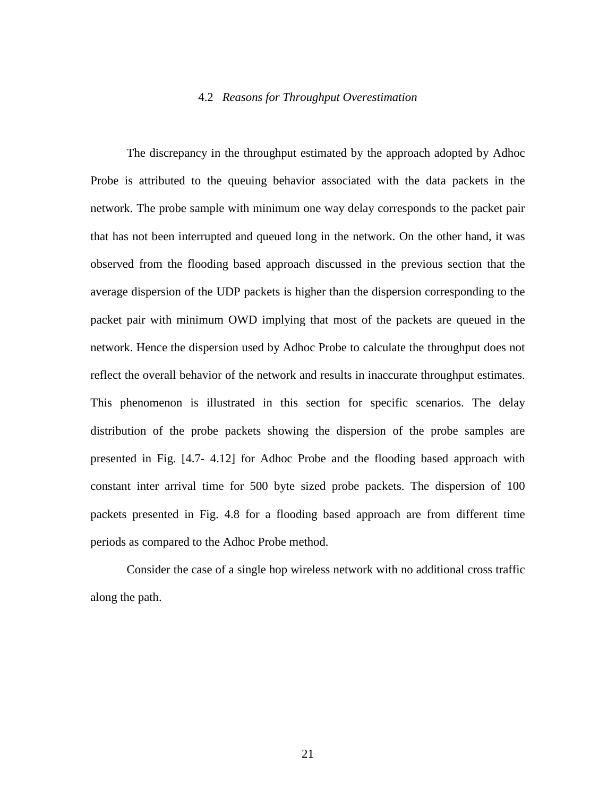#### 4.2 *Reasons for Throughput Overestimation*

The discrepancy in the throughput estimated by the approach adopted by Adhoc Probe is attributed to the queuing behavior associated with the data packets in the network. The probe sample with minimum one way delay corresponds to the packet pair that has not been interrupted and queued long in the network. On the other hand, it was observed from the flooding based approach discussed in the previous section that the average dispersion of the UDP packets is higher than the dispersion corresponding to the packet pair with minimum OWD implying that most of the packets are queued in the network. Hence the dispersion used by Adhoc Probe to calculate the throughput does not reflect the overall behavior of the network and results in inaccurate throughput estimates. This phenomenon is illustrated in this section for specific scenarios. The delay distribution of the probe packets showing the dispersion of the probe samples are presented in Fig. [4.7- 4.12] for Adhoc Probe and the flooding based approach with constant inter arrival time for 500 byte sized probe packets. The dispersion of 100 packets presented in Fig. 4.8 for a flooding based approach are from different time periods as compared to the Adhoc Probe method.

Consider the case of a single hop wireless network with no additional cross traffic along the path.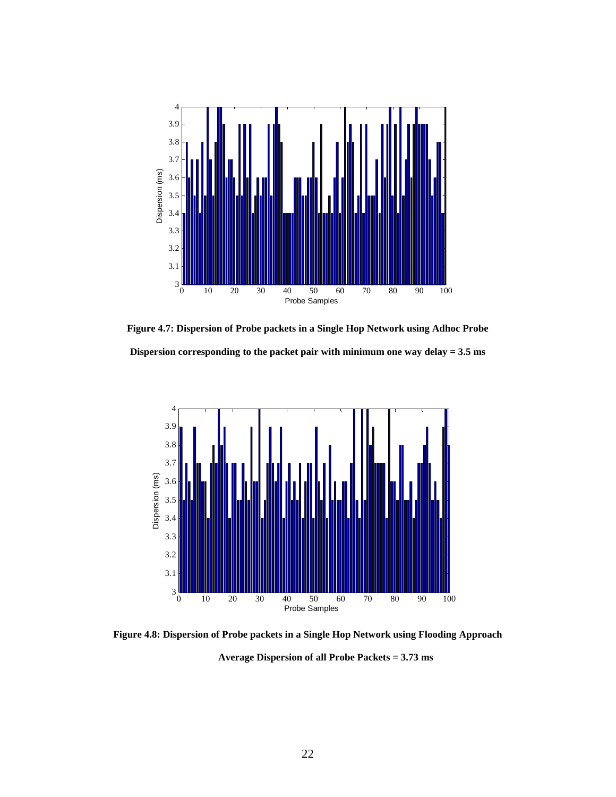

**Figure 4.7: Dispersion of Probe packets in a Single Hop Network using Adhoc Probe Dispersion corresponding to the packet pair with minimum one way delay = 3.5 ms** 



**Figure 4.8: Dispersion of Probe packets in a Single Hop Network using Flooding Approach** 

**Average Dispersion of all Probe Packets = 3.73 ms**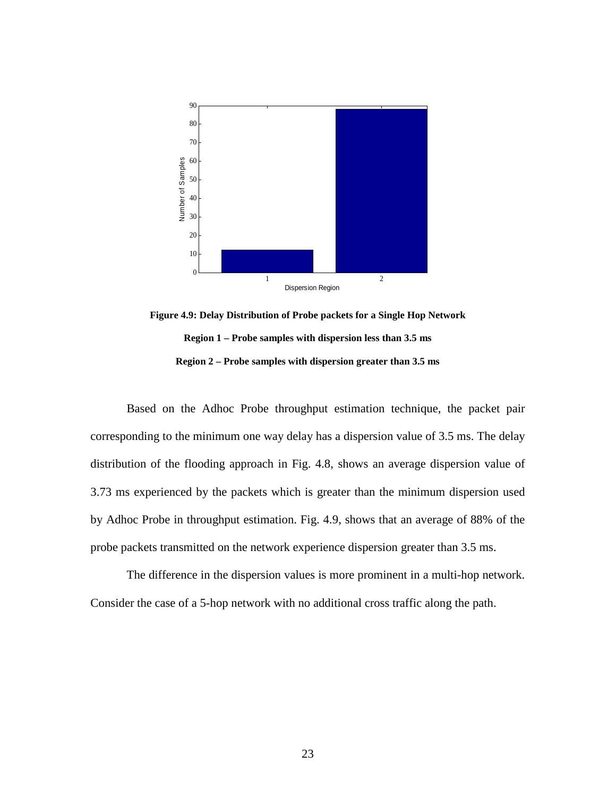

**Figure 4.9: Delay Distribution of Probe packets for a Single Hop Network Region 1 – Probe samples with dispersion less than 3.5 ms Region 2 – Probe samples with dispersion greater than 3.5 ms** 

Based on the Adhoc Probe throughput estimation technique, the packet pair corresponding to the minimum one way delay has a dispersion value of 3.5 ms. The delay distribution of the flooding approach in Fig. 4.8, shows an average dispersion value of 3.73 ms experienced by the packets which is greater than the minimum dispersion used by Adhoc Probe in throughput estimation. Fig. 4.9, shows that an average of 88% of the probe packets transmitted on the network experience dispersion greater than 3.5 ms.

The difference in the dispersion values is more prominent in a multi-hop network. Consider the case of a 5-hop network with no additional cross traffic along the path.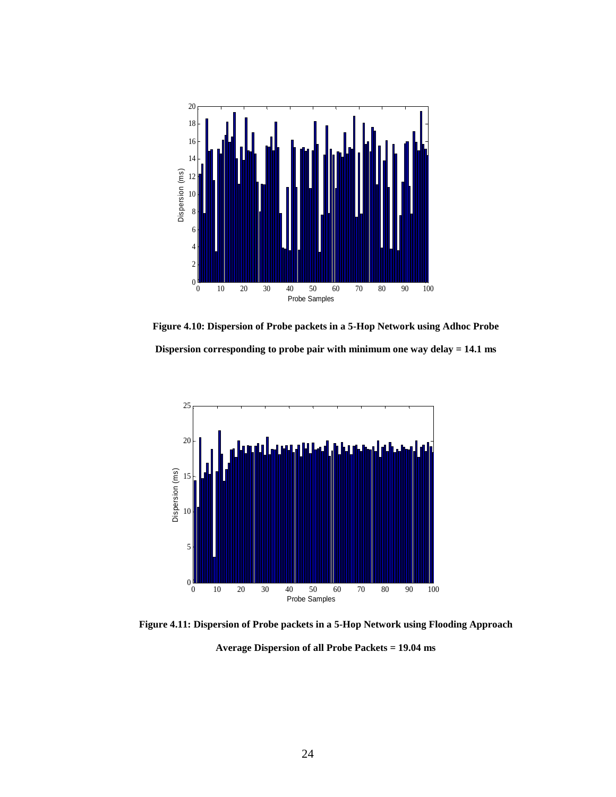

**Figure 4.10: Dispersion of Probe packets in a 5-Hop Network using Adhoc Probe Dispersion corresponding to probe pair with minimum one way delay = 14.1 ms** 



**Figure 4.11: Dispersion of Probe packets in a 5-Hop Network using Flooding Approach Average Dispersion of all Probe Packets = 19.04 ms**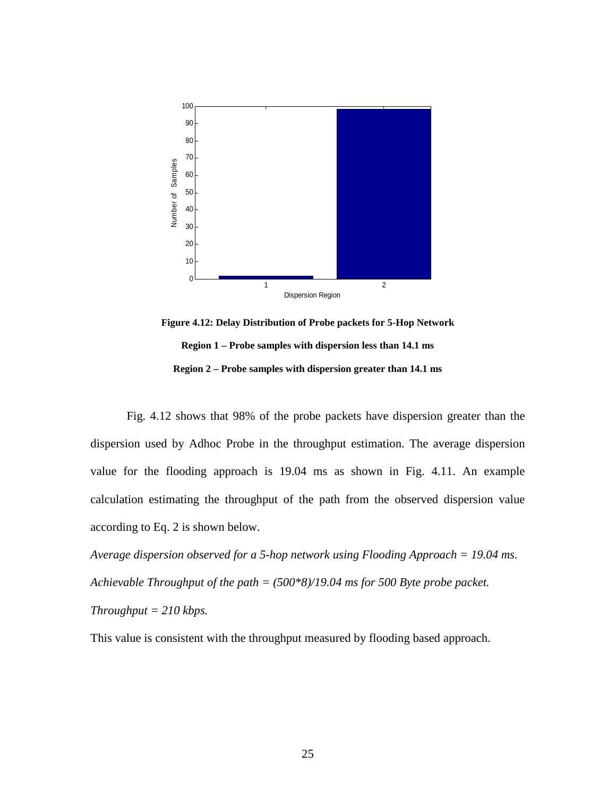

**Figure 4.12: Delay Distribution of Probe packets for 5-Hop Network Region 1 – Probe samples with dispersion less than 14.1 ms Region 2 – Probe samples with dispersion greater than 14.1 ms** 

Fig. 4.12 shows that 98% of the probe packets have dispersion greater than the dispersion used by Adhoc Probe in the throughput estimation. The average dispersion value for the flooding approach is 19.04 ms as shown in Fig. 4.11. An example calculation estimating the throughput of the path from the observed dispersion value according to Eq. 2 is shown below.

*Average dispersion observed for a 5-hop network using Flooding Approach = 19.04 ms. Achievable Throughput of the path = (500\*8)/19.04 ms for 500 Byte probe packet. Throughput = 210 kbps.* 

This value is consistent with the throughput measured by flooding based approach.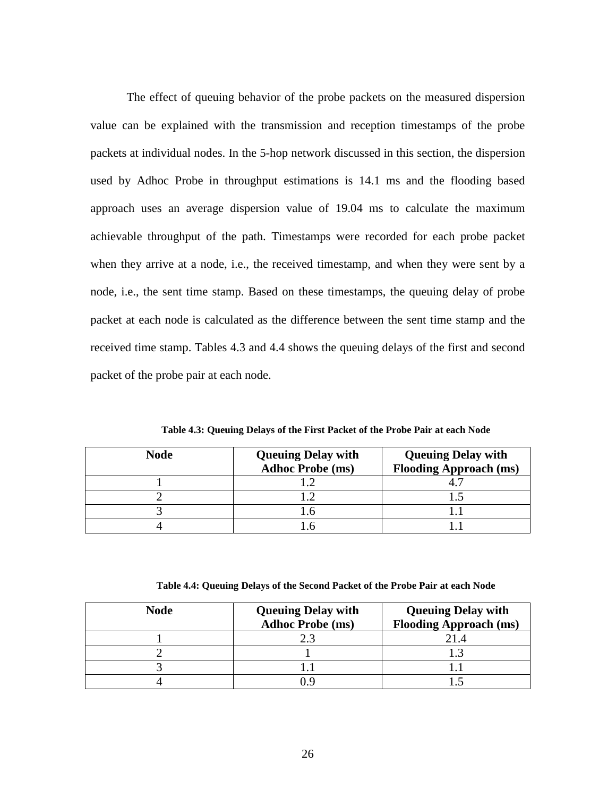The effect of queuing behavior of the probe packets on the measured dispersion value can be explained with the transmission and reception timestamps of the probe packets at individual nodes. In the 5-hop network discussed in this section, the dispersion used by Adhoc Probe in throughput estimations is 14.1 ms and the flooding based approach uses an average dispersion value of 19.04 ms to calculate the maximum achievable throughput of the path. Timestamps were recorded for each probe packet when they arrive at a node, i.e., the received timestamp, and when they were sent by a node, i.e., the sent time stamp. Based on these timestamps, the queuing delay of probe packet at each node is calculated as the difference between the sent time stamp and the received time stamp. Tables 4.3 and 4.4 shows the queuing delays of the first and second packet of the probe pair at each node.

| <b>Node</b> | <b>Queuing Delay with</b> | <b>Queuing Delay with</b>     |
|-------------|---------------------------|-------------------------------|
|             | <b>Adhoc Probe (ms)</b>   | <b>Flooding Approach (ms)</b> |
|             |                           |                               |
|             |                           |                               |
|             |                           |                               |
|             |                           |                               |

**Table 4.3: Queuing Delays of the First Packet of the Probe Pair at each Node** 

**Table 4.4: Queuing Delays of the Second Packet of the Probe Pair at each Node** 

| <b>Node</b> | <b>Queuing Delay with</b><br><b>Adhoc Probe (ms)</b> | <b>Queuing Delay with</b><br><b>Flooding Approach (ms)</b> |
|-------------|------------------------------------------------------|------------------------------------------------------------|
|             |                                                      |                                                            |
|             |                                                      |                                                            |
|             |                                                      |                                                            |
|             |                                                      |                                                            |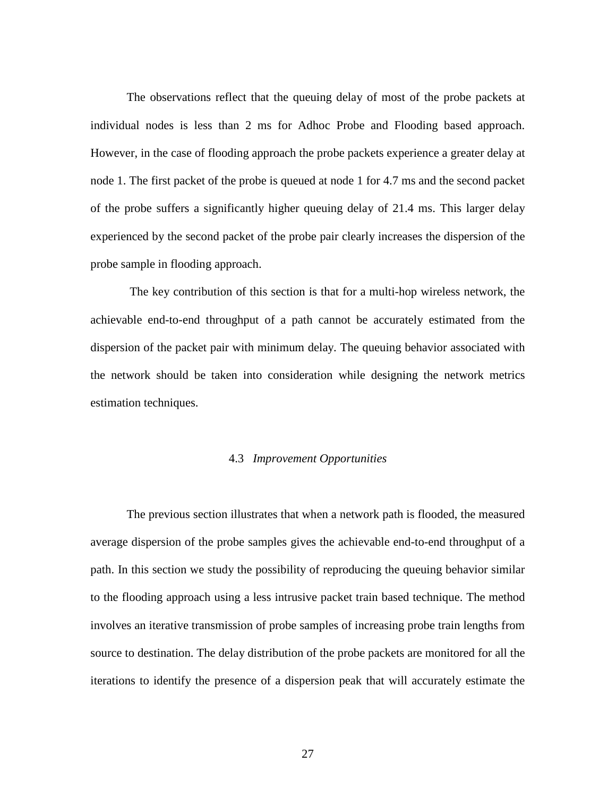The observations reflect that the queuing delay of most of the probe packets at individual nodes is less than 2 ms for Adhoc Probe and Flooding based approach. However, in the case of flooding approach the probe packets experience a greater delay at node 1. The first packet of the probe is queued at node 1 for 4.7 ms and the second packet of the probe suffers a significantly higher queuing delay of 21.4 ms. This larger delay experienced by the second packet of the probe pair clearly increases the dispersion of the probe sample in flooding approach.

 The key contribution of this section is that for a multi-hop wireless network, the achievable end-to-end throughput of a path cannot be accurately estimated from the dispersion of the packet pair with minimum delay. The queuing behavior associated with the network should be taken into consideration while designing the network metrics estimation techniques.

## 4.3 *Improvement Opportunities*

The previous section illustrates that when a network path is flooded, the measured average dispersion of the probe samples gives the achievable end-to-end throughput of a path. In this section we study the possibility of reproducing the queuing behavior similar to the flooding approach using a less intrusive packet train based technique. The method involves an iterative transmission of probe samples of increasing probe train lengths from source to destination. The delay distribution of the probe packets are monitored for all the iterations to identify the presence of a dispersion peak that will accurately estimate the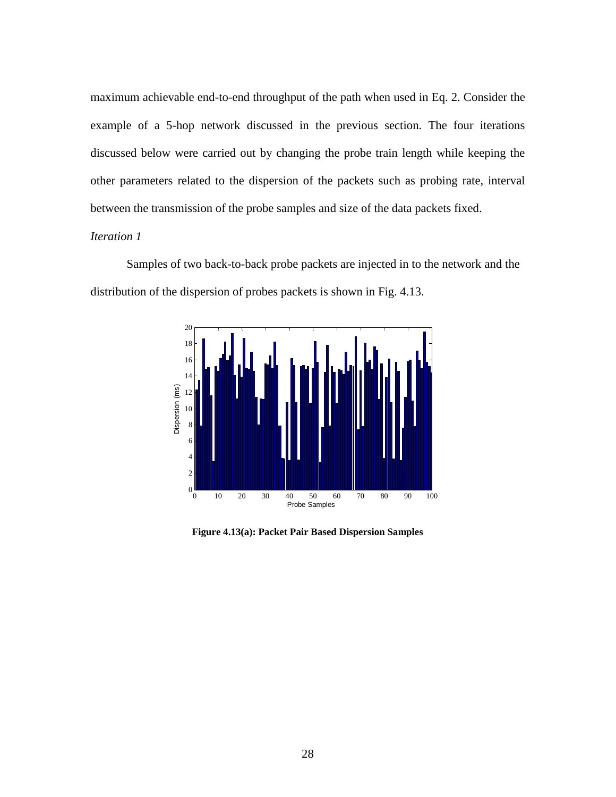maximum achievable end-to-end throughput of the path when used in Eq. 2. Consider the example of a 5-hop network discussed in the previous section. The four iterations discussed below were carried out by changing the probe train length while keeping the other parameters related to the dispersion of the packets such as probing rate, interval between the transmission of the probe samples and size of the data packets fixed.

# *Iteration 1*

Samples of two back-to-back probe packets are injected in to the network and the distribution of the dispersion of probes packets is shown in Fig. 4.13.



**Figure 4.13(a): Packet Pair Based Dispersion Samples**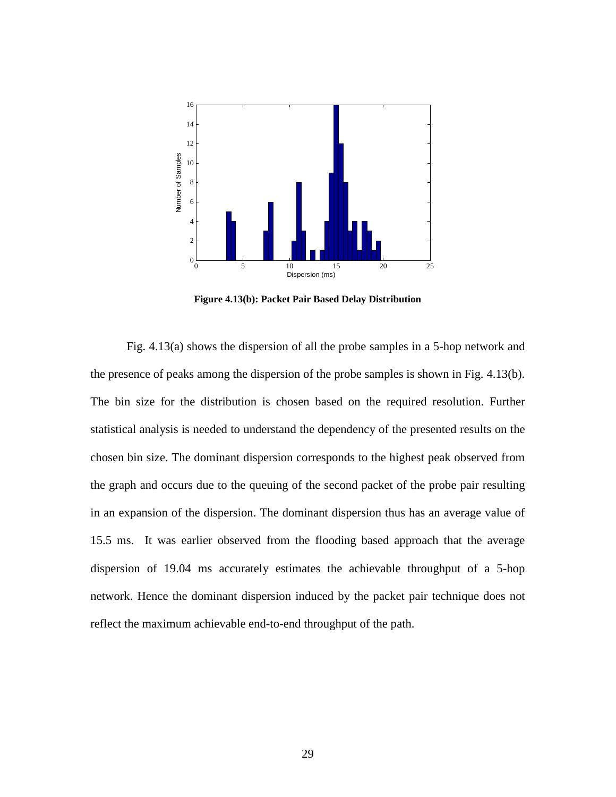

**Figure 4.13(b): Packet Pair Based Delay Distribution** 

Fig. 4.13(a) shows the dispersion of all the probe samples in a 5-hop network and the presence of peaks among the dispersion of the probe samples is shown in Fig. 4.13(b). The bin size for the distribution is chosen based on the required resolution. Further statistical analysis is needed to understand the dependency of the presented results on the chosen bin size. The dominant dispersion corresponds to the highest peak observed from the graph and occurs due to the queuing of the second packet of the probe pair resulting in an expansion of the dispersion. The dominant dispersion thus has an average value of 15.5 ms. It was earlier observed from the flooding based approach that the average dispersion of 19.04 ms accurately estimates the achievable throughput of a 5-hop network. Hence the dominant dispersion induced by the packet pair technique does not reflect the maximum achievable end-to-end throughput of the path.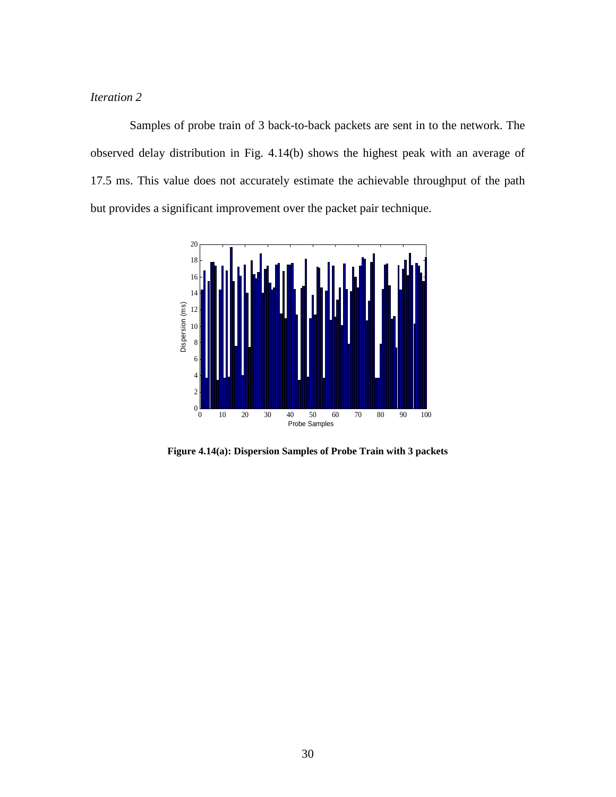# *Iteration 2*

 Samples of probe train of 3 back-to-back packets are sent in to the network. The observed delay distribution in Fig. 4.14(b) shows the highest peak with an average of 17.5 ms. This value does not accurately estimate the achievable throughput of the path but provides a significant improvement over the packet pair technique.



**Figure 4.14(a): Dispersion Samples of Probe Train with 3 packets**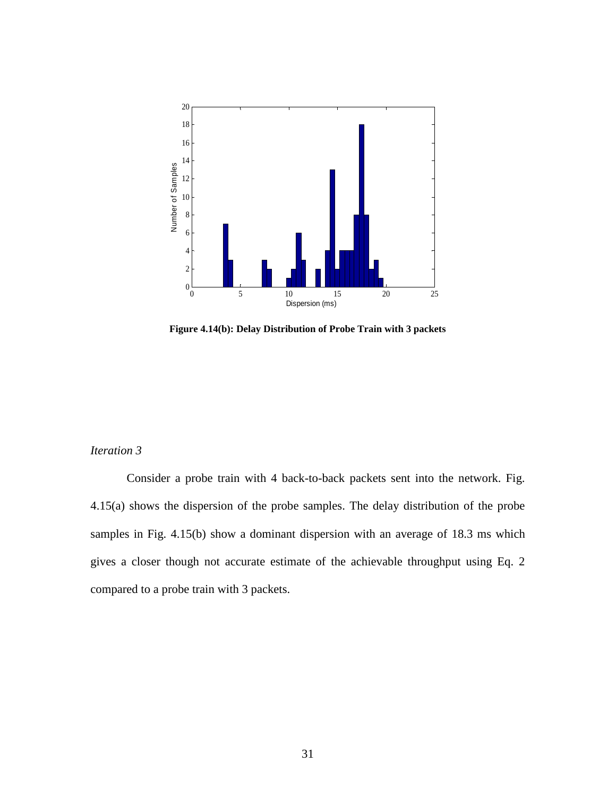

**Figure 4.14(b): Delay Distribution of Probe Train with 3 packets** 

# *Iteration 3*

 Consider a probe train with 4 back-to-back packets sent into the network. Fig. 4.15(a) shows the dispersion of the probe samples. The delay distribution of the probe samples in Fig. 4.15(b) show a dominant dispersion with an average of 18.3 ms which gives a closer though not accurate estimate of the achievable throughput using Eq. 2 compared to a probe train with 3 packets.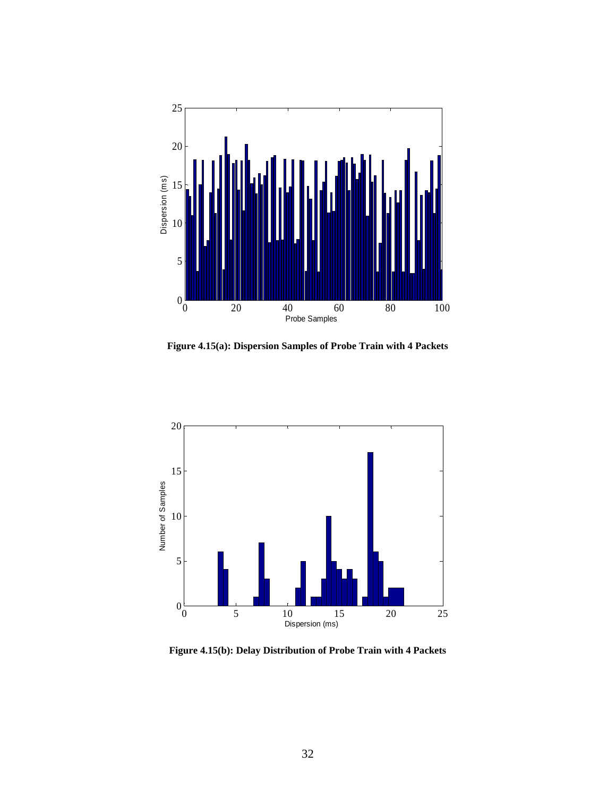

**Figure 4.15(a): Dispersion Samples of Probe Train with 4 Packets** 



**Figure 4.15(b): Delay Distribution of Probe Train with 4 Packets**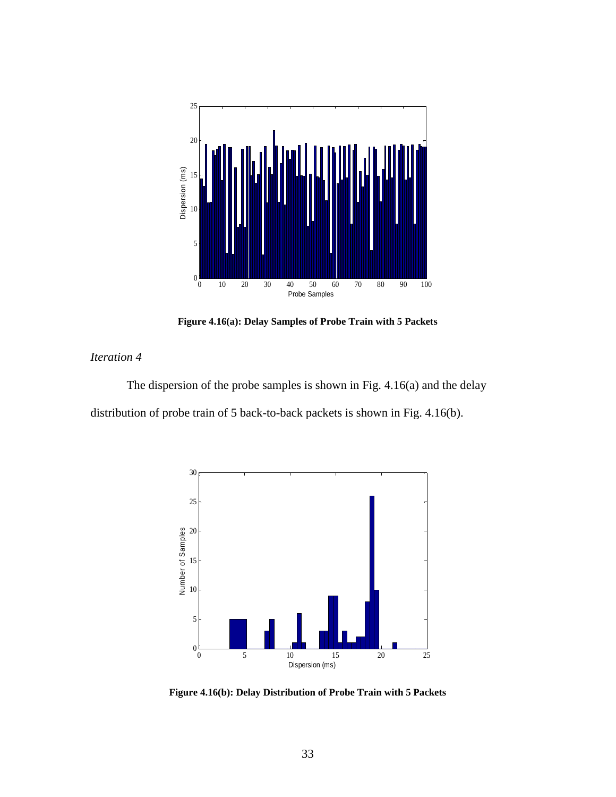

**Figure 4.16(a): Delay Samples of Probe Train with 5 Packets** 

# *Iteration 4*

The dispersion of the probe samples is shown in Fig. 4.16(a) and the delay distribution of probe train of 5 back-to-back packets is shown in Fig. 4.16(b).



**Figure 4.16(b): Delay Distribution of Probe Train with 5 Packets**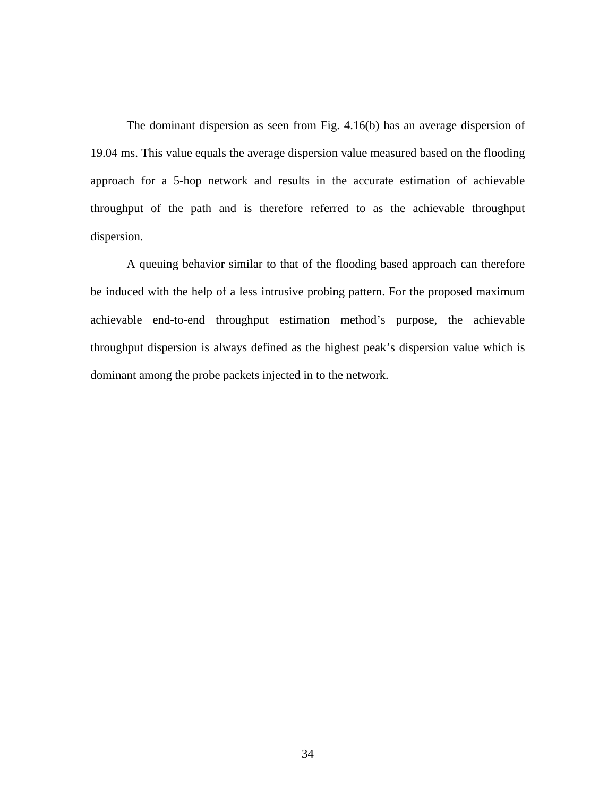The dominant dispersion as seen from Fig. 4.16(b) has an average dispersion of 19.04 ms. This value equals the average dispersion value measured based on the flooding approach for a 5-hop network and results in the accurate estimation of achievable throughput of the path and is therefore referred to as the achievable throughput dispersion.

A queuing behavior similar to that of the flooding based approach can therefore be induced with the help of a less intrusive probing pattern. For the proposed maximum achievable end-to-end throughput estimation method's purpose, the achievable throughput dispersion is always defined as the highest peak's dispersion value which is dominant among the probe packets injected in to the network.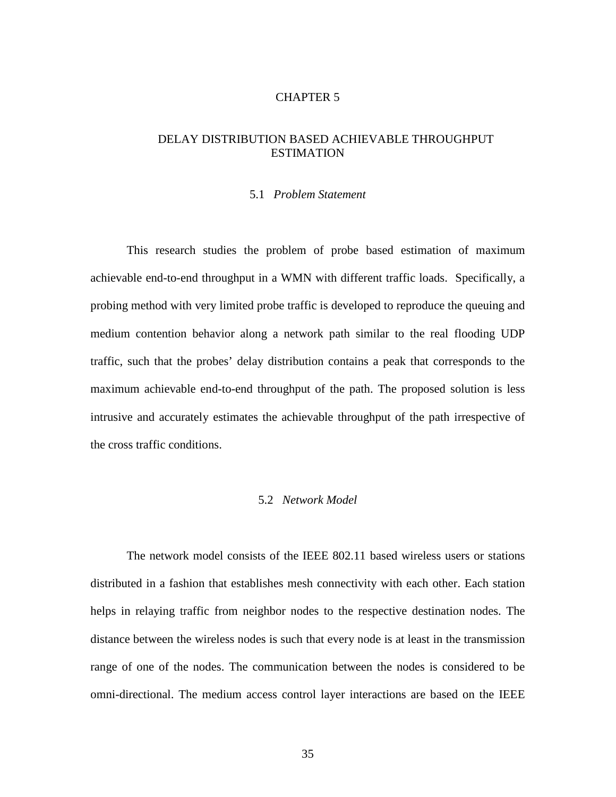#### CHAPTER 5

# DELAY DISTRIBUTION BASED ACHIEVABLE THROUGHPUT **ESTIMATION**

## 5.1 *Problem Statement*

This research studies the problem of probe based estimation of maximum achievable end-to-end throughput in a WMN with different traffic loads. Specifically, a probing method with very limited probe traffic is developed to reproduce the queuing and medium contention behavior along a network path similar to the real flooding UDP traffic, such that the probes' delay distribution contains a peak that corresponds to the maximum achievable end-to-end throughput of the path. The proposed solution is less intrusive and accurately estimates the achievable throughput of the path irrespective of the cross traffic conditions.

# 5.2 *Network Model*

The network model consists of the IEEE 802.11 based wireless users or stations distributed in a fashion that establishes mesh connectivity with each other. Each station helps in relaying traffic from neighbor nodes to the respective destination nodes. The distance between the wireless nodes is such that every node is at least in the transmission range of one of the nodes. The communication between the nodes is considered to be omni-directional. The medium access control layer interactions are based on the IEEE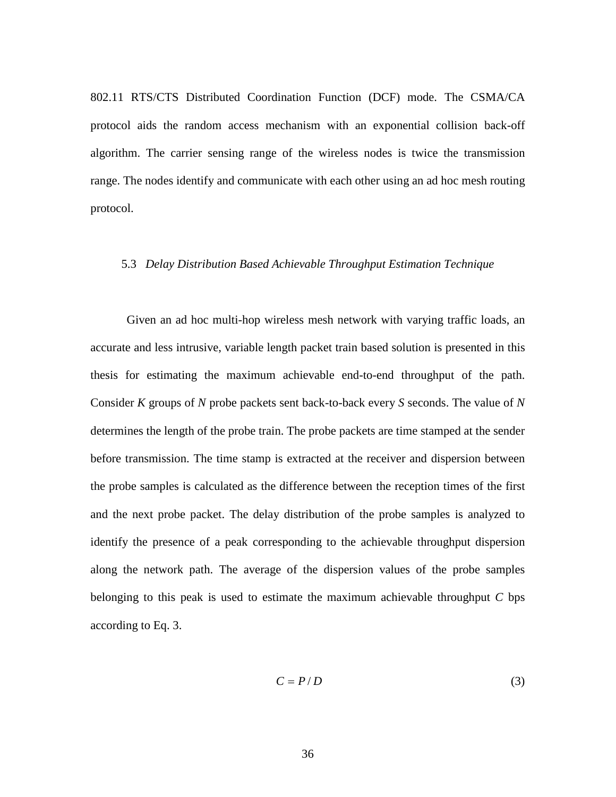802.11 RTS/CTS Distributed Coordination Function (DCF) mode. The CSMA/CA protocol aids the random access mechanism with an exponential collision back-off algorithm. The carrier sensing range of the wireless nodes is twice the transmission range. The nodes identify and communicate with each other using an ad hoc mesh routing protocol.

#### 5.3 *Delay Distribution Based Achievable Throughput Estimation Technique*

Given an ad hoc multi-hop wireless mesh network with varying traffic loads, an accurate and less intrusive, variable length packet train based solution is presented in this thesis for estimating the maximum achievable end-to-end throughput of the path. Consider *K* groups of *N* probe packets sent back-to-back every *S* seconds. The value of *N*  determines the length of the probe train. The probe packets are time stamped at the sender before transmission. The time stamp is extracted at the receiver and dispersion between the probe samples is calculated as the difference between the reception times of the first and the next probe packet. The delay distribution of the probe samples is analyzed to identify the presence of a peak corresponding to the achievable throughput dispersion along the network path. The average of the dispersion values of the probe samples belonging to this peak is used to estimate the maximum achievable throughput *C* bps according to Eq. 3.

$$
C = P/D \tag{3}
$$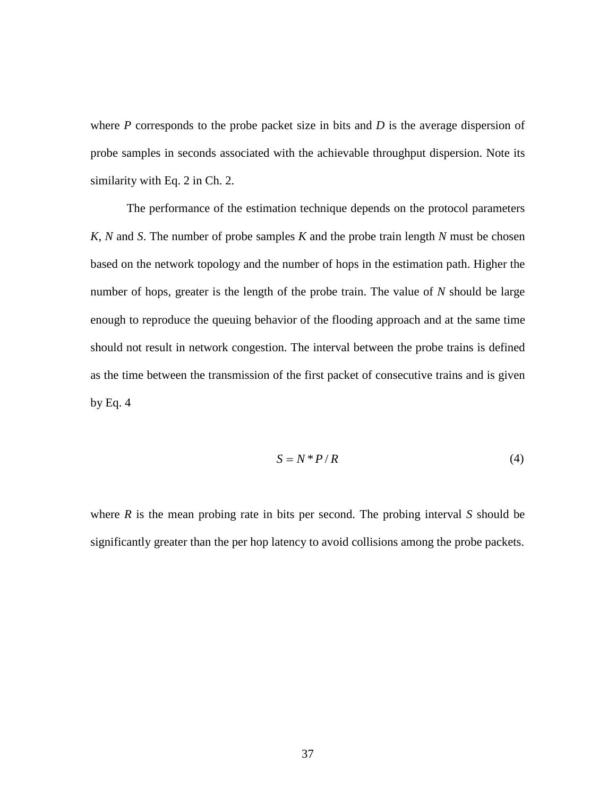where *P* corresponds to the probe packet size in bits and *D* is the average dispersion of probe samples in seconds associated with the achievable throughput dispersion. Note its similarity with Eq. 2 in Ch. 2.

 The performance of the estimation technique depends on the protocol parameters *K*, *N* and *S*. The number of probe samples *K* and the probe train length *N* must be chosen based on the network topology and the number of hops in the estimation path. Higher the number of hops, greater is the length of the probe train. The value of *N* should be large enough to reproduce the queuing behavior of the flooding approach and at the same time should not result in network congestion. The interval between the probe trains is defined as the time between the transmission of the first packet of consecutive trains and is given by Eq.  $4$ 

$$
S = N^* P / R \tag{4}
$$

where  $R$  is the mean probing rate in bits per second. The probing interval  $S$  should be significantly greater than the per hop latency to avoid collisions among the probe packets.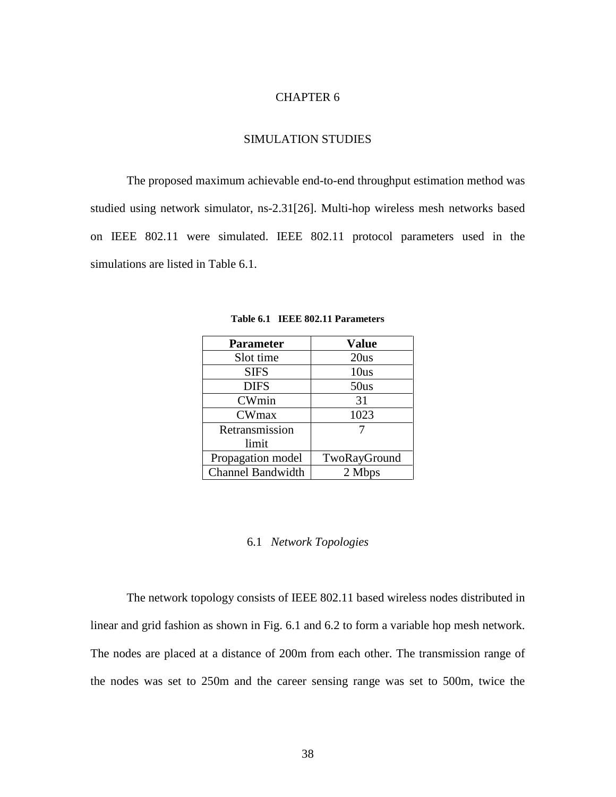# CHAPTER 6

# SIMULATION STUDIES

The proposed maximum achievable end-to-end throughput estimation method was studied using network simulator, ns-2.31[26]. Multi-hop wireless mesh networks based on IEEE 802.11 were simulated. IEEE 802.11 protocol parameters used in the simulations are listed in Table 6.1.

| <b>Parameter</b>         | <b>Value</b> |
|--------------------------|--------------|
| Slot time                | 20us         |
| <b>SIFS</b>              | 10us         |
| <b>DIFS</b>              | 50us         |
| CWmin                    | 31           |
| <b>CWmax</b>             | 1023         |
| Retransmission           |              |
| limit                    |              |
| Propagation model        | TwoRayGround |
| <b>Channel Bandwidth</b> | 2 Mbps       |

**Table 6.1 IEEE 802.11 Parameters** 

# 6.1 *Network Topologies*

The network topology consists of IEEE 802.11 based wireless nodes distributed in linear and grid fashion as shown in Fig. 6.1 and 6.2 to form a variable hop mesh network. The nodes are placed at a distance of 200m from each other. The transmission range of the nodes was set to 250m and the career sensing range was set to 500m, twice the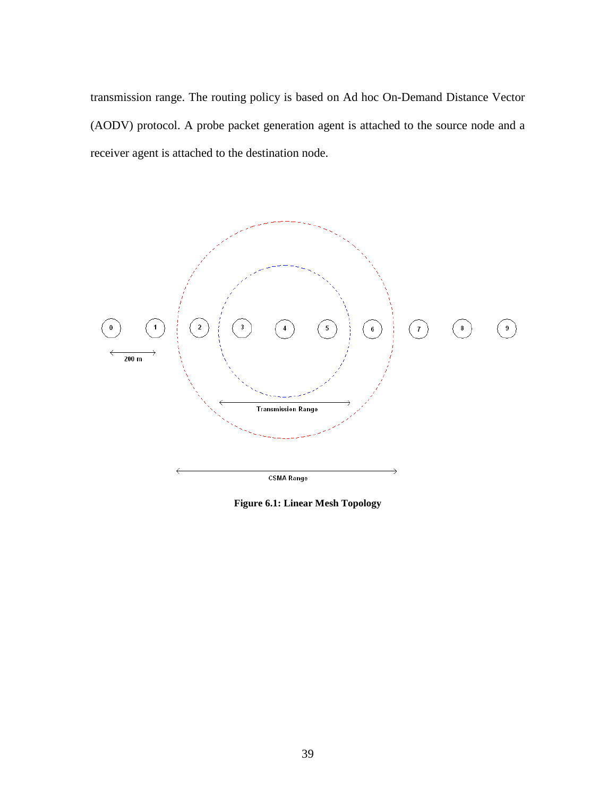transmission range. The routing policy is based on Ad hoc On-Demand Distance Vector (AODV) protocol. A probe packet generation agent is attached to the source node and a receiver agent is attached to the destination node.



**Figure 6.1: Linear Mesh Topology**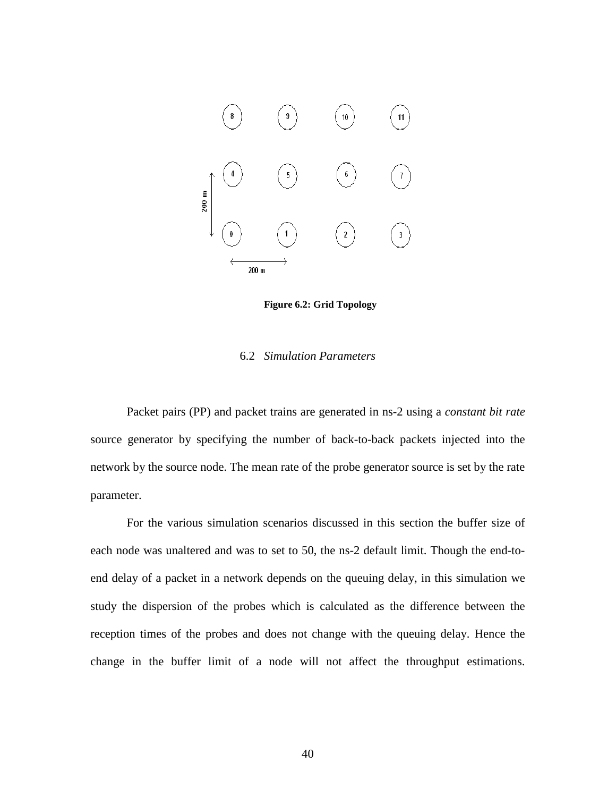

 **Figure 6.2: Grid Topology** 

# 6.2 *Simulation Parameters*

Packet pairs (PP) and packet trains are generated in ns-2 using a *constant bit rate* source generator by specifying the number of back-to-back packets injected into the network by the source node. The mean rate of the probe generator source is set by the rate parameter.

For the various simulation scenarios discussed in this section the buffer size of each node was unaltered and was to set to 50, the ns-2 default limit. Though the end-toend delay of a packet in a network depends on the queuing delay, in this simulation we study the dispersion of the probes which is calculated as the difference between the reception times of the probes and does not change with the queuing delay. Hence the change in the buffer limit of a node will not affect the throughput estimations.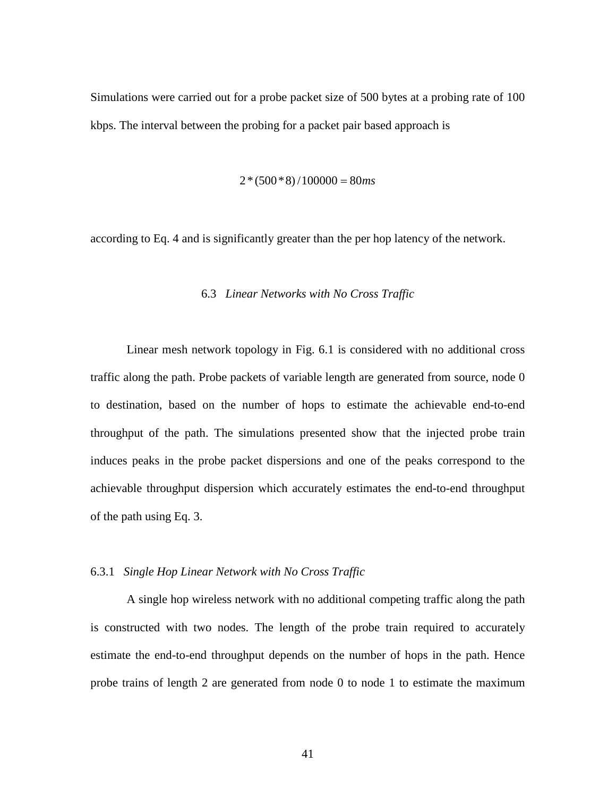Simulations were carried out for a probe packet size of 500 bytes at a probing rate of 100 kbps. The interval between the probing for a packet pair based approach is

$$
2*(500*8)/100000=80ms
$$

according to Eq. 4 and is significantly greater than the per hop latency of the network.

### 6.3 *Linear Networks with No Cross Traffic*

Linear mesh network topology in Fig. 6.1 is considered with no additional cross traffic along the path. Probe packets of variable length are generated from source, node 0 to destination, based on the number of hops to estimate the achievable end-to-end throughput of the path. The simulations presented show that the injected probe train induces peaks in the probe packet dispersions and one of the peaks correspond to the achievable throughput dispersion which accurately estimates the end-to-end throughput of the path using Eq. 3.

## 6.3.1 *Single Hop Linear Network with No Cross Traffic*

A single hop wireless network with no additional competing traffic along the path is constructed with two nodes. The length of the probe train required to accurately estimate the end-to-end throughput depends on the number of hops in the path. Hence probe trains of length 2 are generated from node 0 to node 1 to estimate the maximum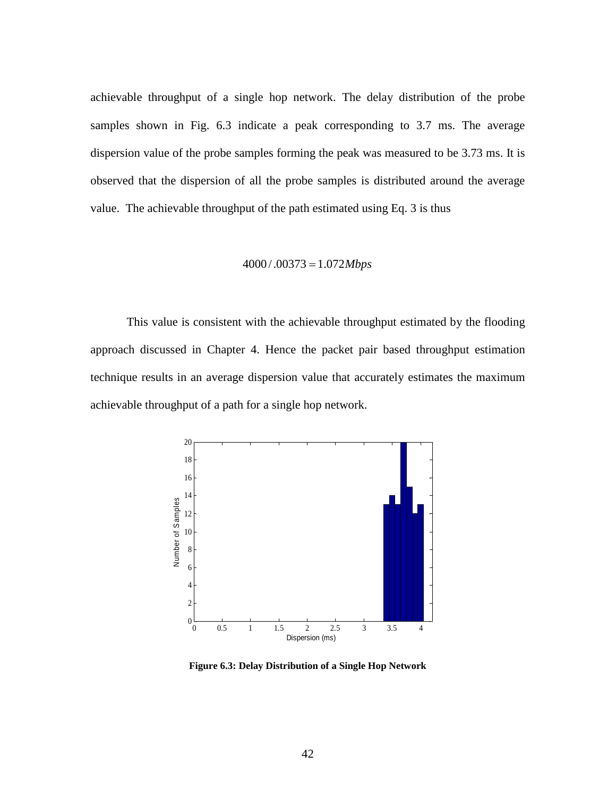achievable throughput of a single hop network. The delay distribution of the probe samples shown in Fig. 6.3 indicate a peak corresponding to 3.7 ms. The average dispersion value of the probe samples forming the peak was measured to be 3.73 ms. It is observed that the dispersion of all the probe samples is distributed around the average value. The achievable throughput of the path estimated using Eq. 3 is thus

#### $4000/.00373 = 1.072Mbps$

This value is consistent with the achievable throughput estimated by the flooding approach discussed in Chapter 4. Hence the packet pair based throughput estimation technique results in an average dispersion value that accurately estimates the maximum achievable throughput of a path for a single hop network.



**Figure 6.3: Delay Distribution of a Single Hop Network**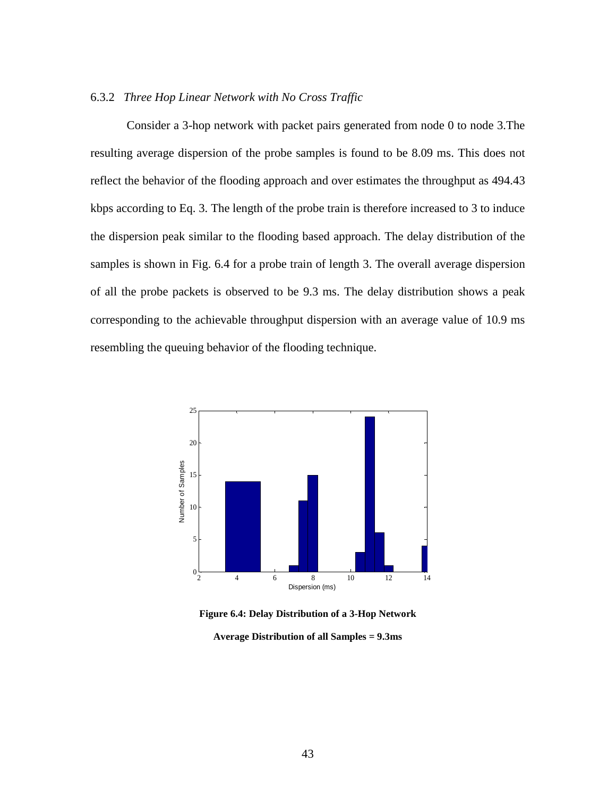## 6.3.2 *Three Hop Linear Network with No Cross Traffic*

Consider a 3-hop network with packet pairs generated from node 0 to node 3.The resulting average dispersion of the probe samples is found to be 8.09 ms. This does not reflect the behavior of the flooding approach and over estimates the throughput as 494.43 kbps according to Eq. 3. The length of the probe train is therefore increased to 3 to induce the dispersion peak similar to the flooding based approach. The delay distribution of the samples is shown in Fig. 6.4 for a probe train of length 3. The overall average dispersion of all the probe packets is observed to be 9.3 ms. The delay distribution shows a peak corresponding to the achievable throughput dispersion with an average value of 10.9 ms resembling the queuing behavior of the flooding technique.



**Figure 6.4: Delay Distribution of a 3-Hop Network Average Distribution of all Samples = 9.3ms**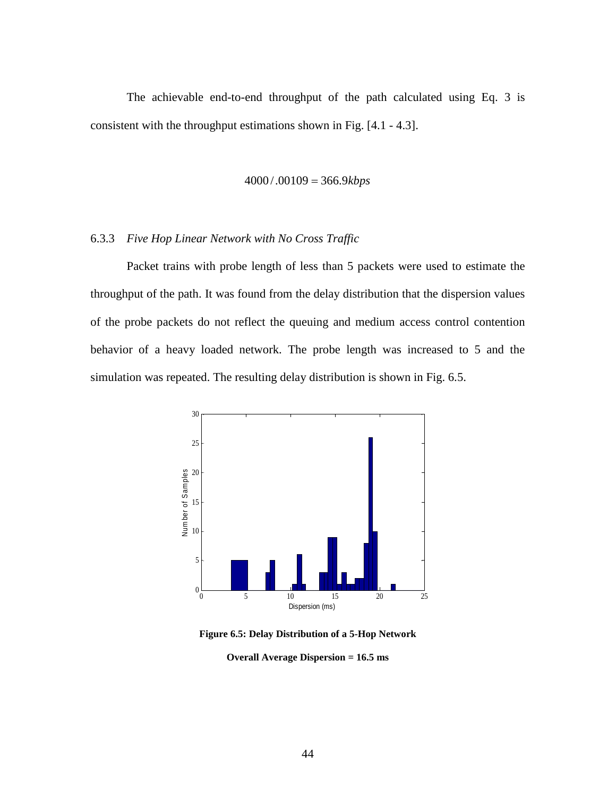The achievable end-to-end throughput of the path calculated using Eq. 3 is consistent with the throughput estimations shown in Fig. [4.1 - 4.3].

$$
4000/.00109 = 366.9kbps
$$

# 6.3.3 *Five Hop Linear Network with No Cross Traffic*

Packet trains with probe length of less than 5 packets were used to estimate the throughput of the path. It was found from the delay distribution that the dispersion values of the probe packets do not reflect the queuing and medium access control contention behavior of a heavy loaded network. The probe length was increased to 5 and the simulation was repeated. The resulting delay distribution is shown in Fig. 6.5.



**Figure 6.5: Delay Distribution of a 5-Hop Network** 

**Overall Average Dispersion = 16.5 ms**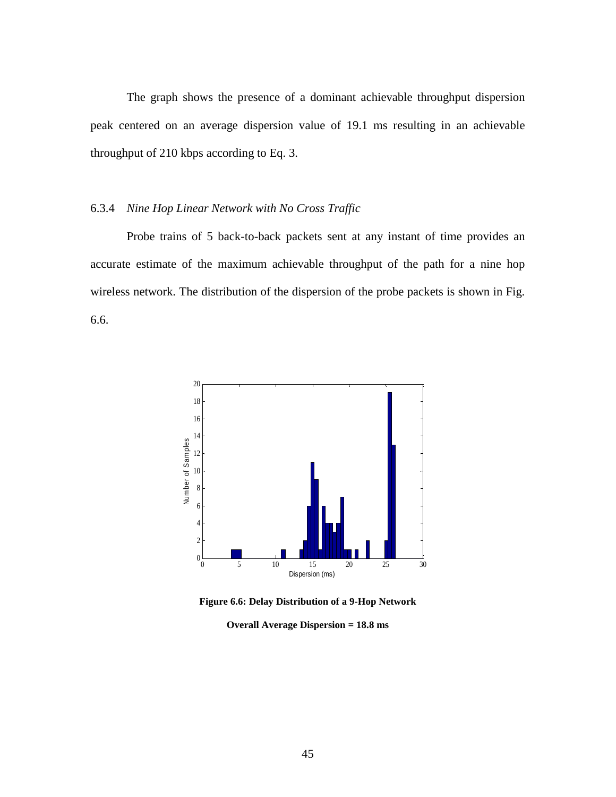The graph shows the presence of a dominant achievable throughput dispersion peak centered on an average dispersion value of 19.1 ms resulting in an achievable throughput of 210 kbps according to Eq. 3.

# 6.3.4 *Nine Hop Linear Network with No Cross Traffic*

Probe trains of 5 back-to-back packets sent at any instant of time provides an accurate estimate of the maximum achievable throughput of the path for a nine hop wireless network. The distribution of the dispersion of the probe packets is shown in Fig. 6.6.



**Figure 6.6: Delay Distribution of a 9-Hop Network** 

**Overall Average Dispersion = 18.8 ms**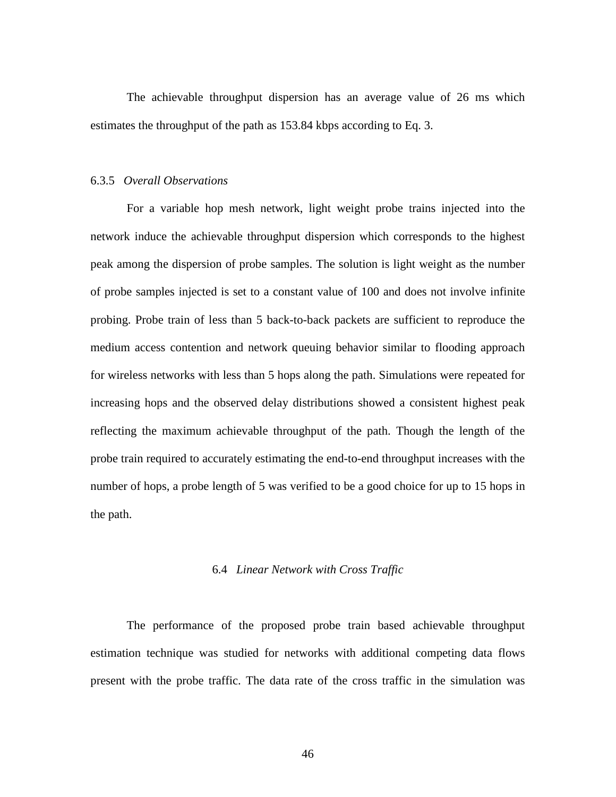The achievable throughput dispersion has an average value of 26 ms which estimates the throughput of the path as 153.84 kbps according to Eq. 3.

#### 6.3.5 *Overall Observations*

For a variable hop mesh network, light weight probe trains injected into the network induce the achievable throughput dispersion which corresponds to the highest peak among the dispersion of probe samples. The solution is light weight as the number of probe samples injected is set to a constant value of 100 and does not involve infinite probing. Probe train of less than 5 back-to-back packets are sufficient to reproduce the medium access contention and network queuing behavior similar to flooding approach for wireless networks with less than 5 hops along the path. Simulations were repeated for increasing hops and the observed delay distributions showed a consistent highest peak reflecting the maximum achievable throughput of the path. Though the length of the probe train required to accurately estimating the end-to-end throughput increases with the number of hops, a probe length of 5 was verified to be a good choice for up to 15 hops in the path.

### 6.4 *Linear Network with Cross Traffic*

The performance of the proposed probe train based achievable throughput estimation technique was studied for networks with additional competing data flows present with the probe traffic. The data rate of the cross traffic in the simulation was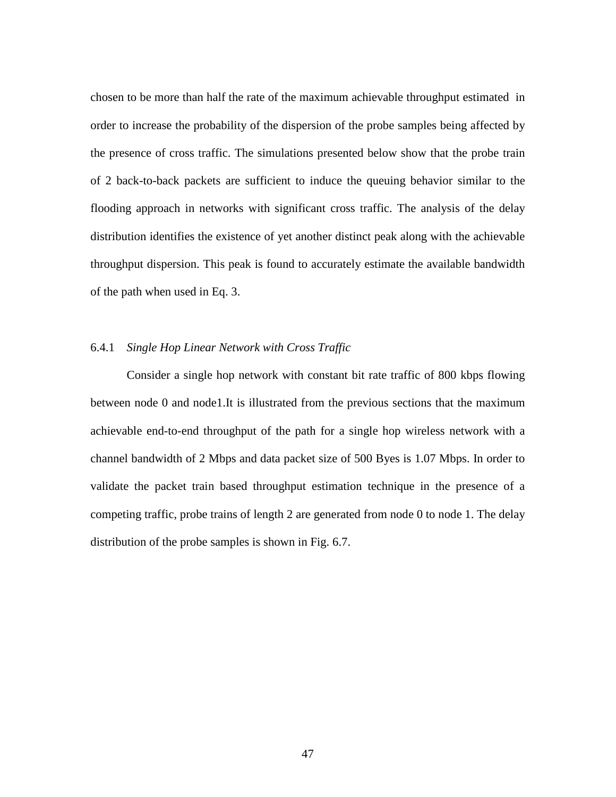chosen to be more than half the rate of the maximum achievable throughput estimated in order to increase the probability of the dispersion of the probe samples being affected by the presence of cross traffic. The simulations presented below show that the probe train of 2 back-to-back packets are sufficient to induce the queuing behavior similar to the flooding approach in networks with significant cross traffic. The analysis of the delay distribution identifies the existence of yet another distinct peak along with the achievable throughput dispersion. This peak is found to accurately estimate the available bandwidth of the path when used in Eq. 3.

# 6.4.1 *Single Hop Linear Network with Cross Traffic*

Consider a single hop network with constant bit rate traffic of 800 kbps flowing between node 0 and node1.It is illustrated from the previous sections that the maximum achievable end-to-end throughput of the path for a single hop wireless network with a channel bandwidth of 2 Mbps and data packet size of 500 Byes is 1.07 Mbps. In order to validate the packet train based throughput estimation technique in the presence of a competing traffic, probe trains of length 2 are generated from node 0 to node 1. The delay distribution of the probe samples is shown in Fig. 6.7.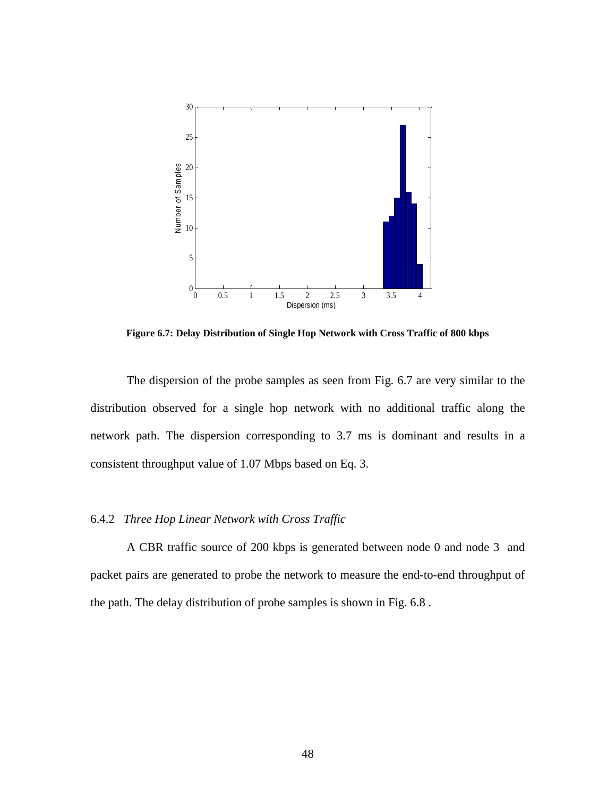

**Figure 6.7: Delay Distribution of Single Hop Network with Cross Traffic of 800 kbps** 

The dispersion of the probe samples as seen from Fig. 6.7 are very similar to the distribution observed for a single hop network with no additional traffic along the network path. The dispersion corresponding to 3.7 ms is dominant and results in a consistent throughput value of 1.07 Mbps based on Eq. 3.

### 6.4.2 *Three Hop Linear Network with Cross Traffic*

A CBR traffic source of 200 kbps is generated between node 0 and node 3 and packet pairs are generated to probe the network to measure the end-to-end throughput of the path. The delay distribution of probe samples is shown in Fig. 6.8 .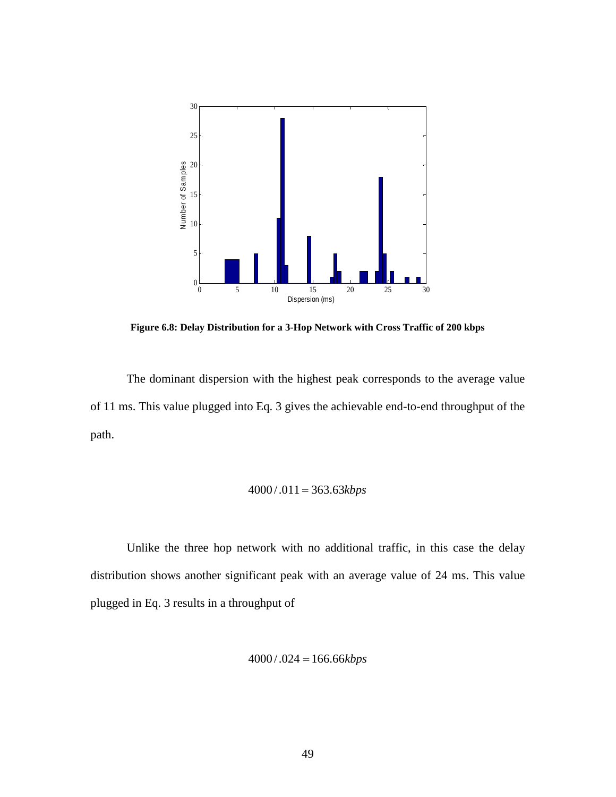

**Figure 6.8: Delay Distribution for a 3-Hop Network with Cross Traffic of 200 kbps** 

The dominant dispersion with the highest peak corresponds to the average value of 11 ms. This value plugged into Eq. 3 gives the achievable end-to-end throughput of the path.

$$
4000/.011 = 363.63kbps
$$

Unlike the three hop network with no additional traffic, in this case the delay distribution shows another significant peak with an average value of 24 ms. This value plugged in Eq. 3 results in a throughput of

$$
4000/.024 = 166.66kbps
$$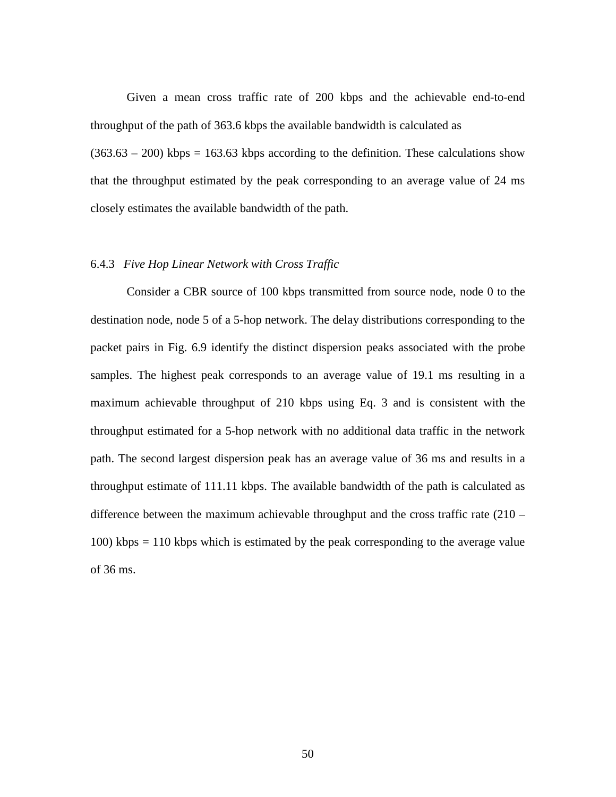Given a mean cross traffic rate of 200 kbps and the achievable end-to-end throughput of the path of 363.6 kbps the available bandwidth is calculated as  $(363.63 - 200)$  kbps = 163.63 kbps according to the definition. These calculations show that the throughput estimated by the peak corresponding to an average value of 24 ms closely estimates the available bandwidth of the path.

### 6.4.3 *Five Hop Linear Network with Cross Traffic*

Consider a CBR source of 100 kbps transmitted from source node, node 0 to the destination node, node 5 of a 5-hop network. The delay distributions corresponding to the packet pairs in Fig. 6.9 identify the distinct dispersion peaks associated with the probe samples. The highest peak corresponds to an average value of 19.1 ms resulting in a maximum achievable throughput of 210 kbps using Eq. 3 and is consistent with the throughput estimated for a 5-hop network with no additional data traffic in the network path. The second largest dispersion peak has an average value of 36 ms and results in a throughput estimate of 111.11 kbps. The available bandwidth of the path is calculated as difference between the maximum achievable throughput and the cross traffic rate (210 – 100) kbps = 110 kbps which is estimated by the peak corresponding to the average value of 36 ms.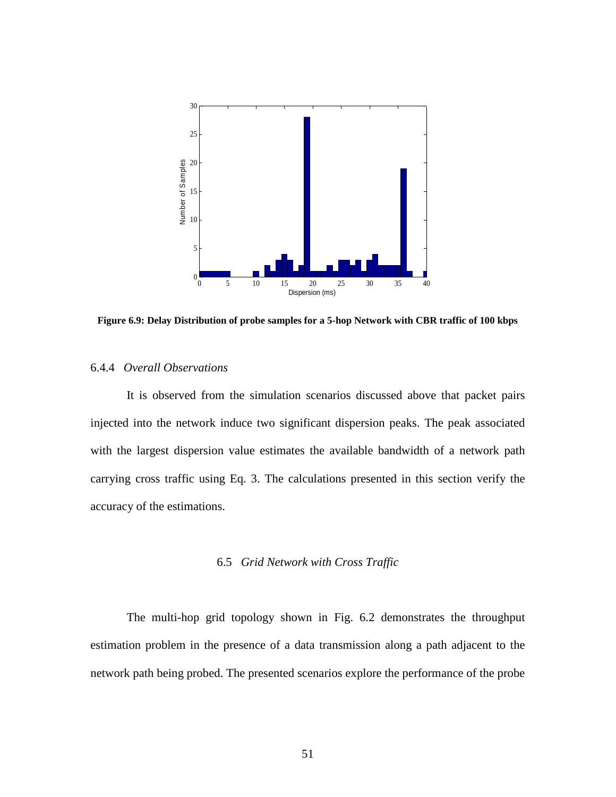

**Figure 6.9: Delay Distribution of probe samples for a 5-hop Network with CBR traffic of 100 kbps** 

# 6.4.4 *Overall Observations*

It is observed from the simulation scenarios discussed above that packet pairs injected into the network induce two significant dispersion peaks. The peak associated with the largest dispersion value estimates the available bandwidth of a network path carrying cross traffic using Eq. 3. The calculations presented in this section verify the accuracy of the estimations.

#### 6.5 *Grid Network with Cross Traffic*

The multi-hop grid topology shown in Fig. 6.2 demonstrates the throughput estimation problem in the presence of a data transmission along a path adjacent to the network path being probed. The presented scenarios explore the performance of the probe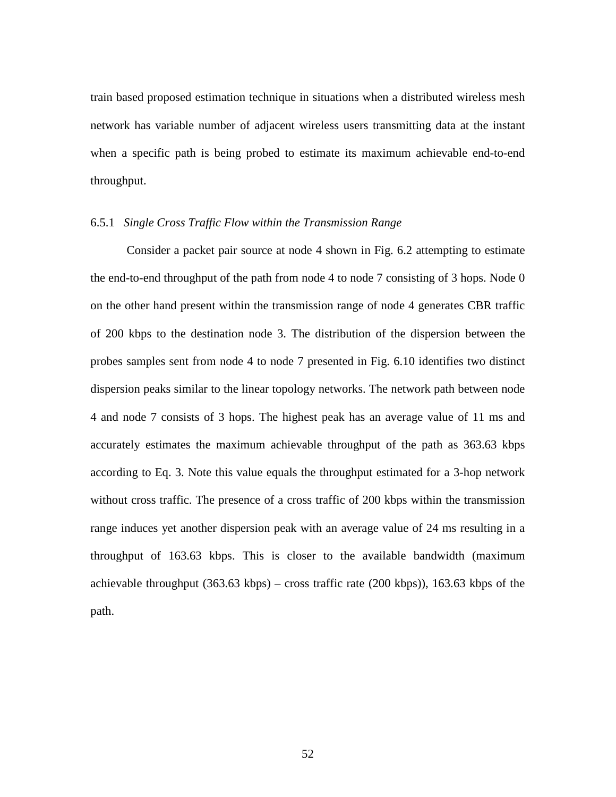train based proposed estimation technique in situations when a distributed wireless mesh network has variable number of adjacent wireless users transmitting data at the instant when a specific path is being probed to estimate its maximum achievable end-to-end throughput.

## 6.5.1 *Single Cross Traffic Flow within the Transmission Range*

Consider a packet pair source at node 4 shown in Fig. 6.2 attempting to estimate the end-to-end throughput of the path from node 4 to node 7 consisting of 3 hops. Node 0 on the other hand present within the transmission range of node 4 generates CBR traffic of 200 kbps to the destination node 3. The distribution of the dispersion between the probes samples sent from node 4 to node 7 presented in Fig. 6.10 identifies two distinct dispersion peaks similar to the linear topology networks. The network path between node 4 and node 7 consists of 3 hops. The highest peak has an average value of 11 ms and accurately estimates the maximum achievable throughput of the path as 363.63 kbps according to Eq. 3. Note this value equals the throughput estimated for a 3-hop network without cross traffic. The presence of a cross traffic of 200 kbps within the transmission range induces yet another dispersion peak with an average value of 24 ms resulting in a throughput of 163.63 kbps. This is closer to the available bandwidth (maximum achievable throughput (363.63 kbps) – cross traffic rate (200 kbps)), 163.63 kbps of the path.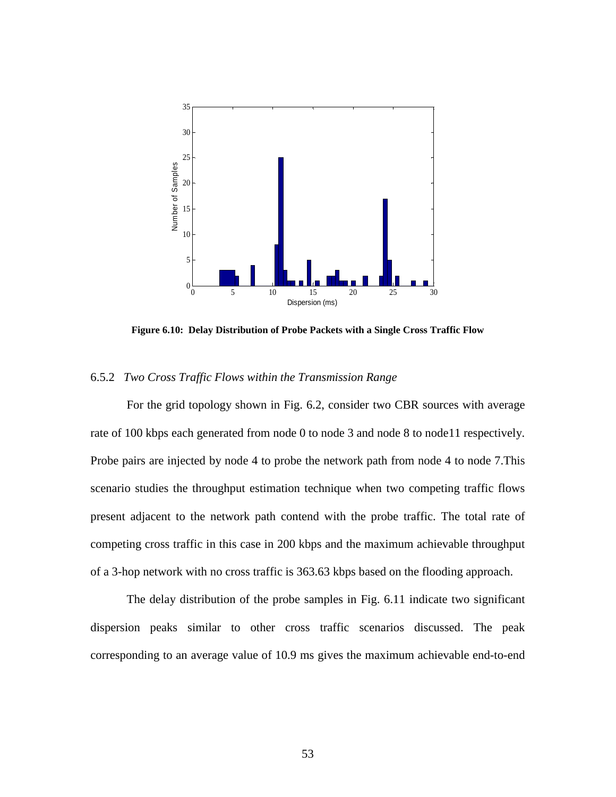

**Figure 6.10: Delay Distribution of Probe Packets with a Single Cross Traffic Flow** 

#### 6.5.2 *Two Cross Traffic Flows within the Transmission Range*

For the grid topology shown in Fig. 6.2, consider two CBR sources with average rate of 100 kbps each generated from node 0 to node 3 and node 8 to node11 respectively. Probe pairs are injected by node 4 to probe the network path from node 4 to node 7.This scenario studies the throughput estimation technique when two competing traffic flows present adjacent to the network path contend with the probe traffic. The total rate of competing cross traffic in this case in 200 kbps and the maximum achievable throughput of a 3-hop network with no cross traffic is 363.63 kbps based on the flooding approach.

 The delay distribution of the probe samples in Fig. 6.11 indicate two significant dispersion peaks similar to other cross traffic scenarios discussed. The peak corresponding to an average value of 10.9 ms gives the maximum achievable end-to-end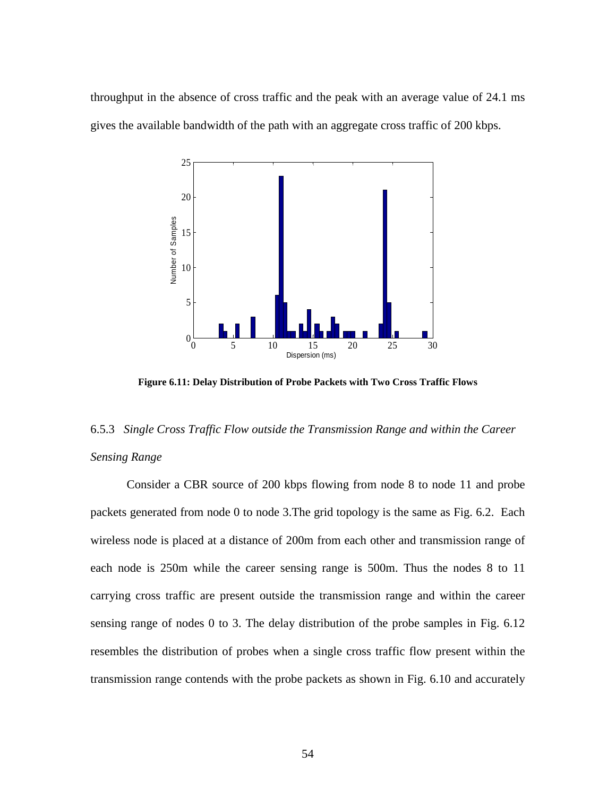throughput in the absence of cross traffic and the peak with an average value of 24.1 ms gives the available bandwidth of the path with an aggregate cross traffic of 200 kbps.



**Figure 6.11: Delay Distribution of Probe Packets with Two Cross Traffic Flows** 

# 6.5.3 *Single Cross Traffic Flow outside the Transmission Range and within the Career Sensing Range*

Consider a CBR source of 200 kbps flowing from node 8 to node 11 and probe packets generated from node 0 to node 3.The grid topology is the same as Fig. 6.2. Each wireless node is placed at a distance of 200m from each other and transmission range of each node is 250m while the career sensing range is 500m. Thus the nodes 8 to 11 carrying cross traffic are present outside the transmission range and within the career sensing range of nodes 0 to 3. The delay distribution of the probe samples in Fig. 6.12 resembles the distribution of probes when a single cross traffic flow present within the transmission range contends with the probe packets as shown in Fig. 6.10 and accurately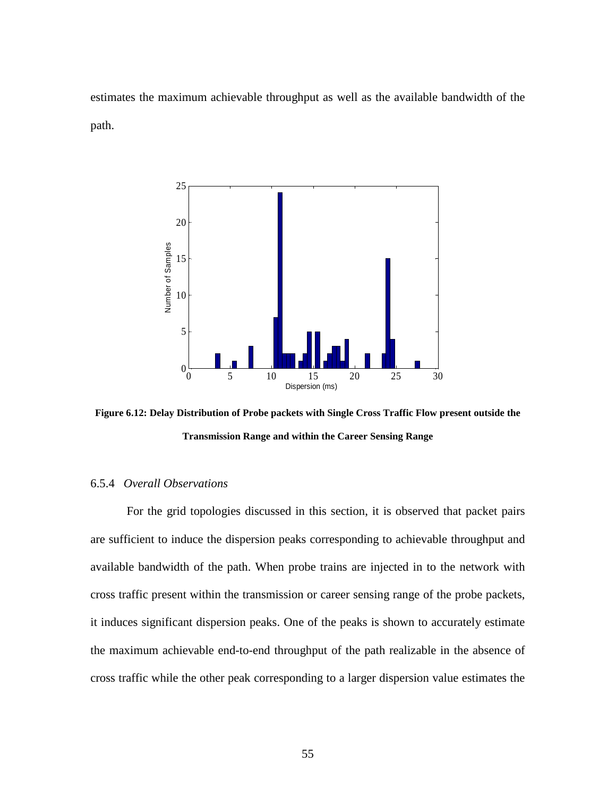estimates the maximum achievable throughput as well as the available bandwidth of the path.



**Figure 6.12: Delay Distribution of Probe packets with Single Cross Traffic Flow present outside the Transmission Range and within the Career Sensing Range** 

# 6.5.4 *Overall Observations*

 For the grid topologies discussed in this section, it is observed that packet pairs are sufficient to induce the dispersion peaks corresponding to achievable throughput and available bandwidth of the path. When probe trains are injected in to the network with cross traffic present within the transmission or career sensing range of the probe packets, it induces significant dispersion peaks. One of the peaks is shown to accurately estimate the maximum achievable end-to-end throughput of the path realizable in the absence of cross traffic while the other peak corresponding to a larger dispersion value estimates the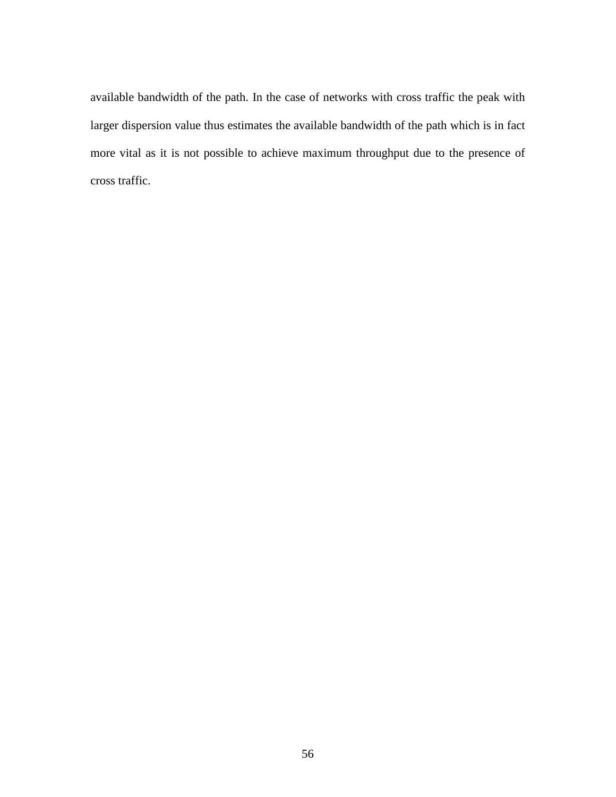available bandwidth of the path. In the case of networks with cross traffic the peak with larger dispersion value thus estimates the available bandwidth of the path which is in fact more vital as it is not possible to achieve maximum throughput due to the presence of cross traffic.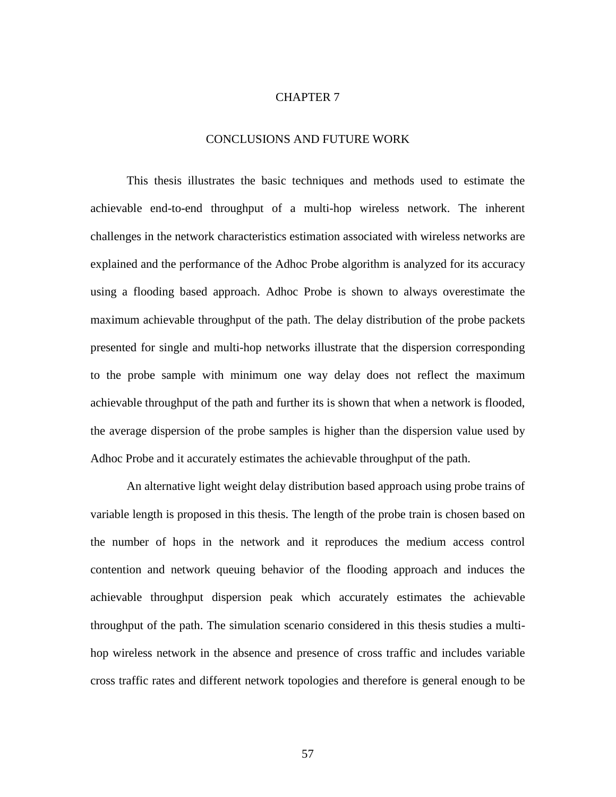#### CHAPTER 7

# CONCLUSIONS AND FUTURE WORK

This thesis illustrates the basic techniques and methods used to estimate the achievable end-to-end throughput of a multi-hop wireless network. The inherent challenges in the network characteristics estimation associated with wireless networks are explained and the performance of the Adhoc Probe algorithm is analyzed for its accuracy using a flooding based approach. Adhoc Probe is shown to always overestimate the maximum achievable throughput of the path. The delay distribution of the probe packets presented for single and multi-hop networks illustrate that the dispersion corresponding to the probe sample with minimum one way delay does not reflect the maximum achievable throughput of the path and further its is shown that when a network is flooded, the average dispersion of the probe samples is higher than the dispersion value used by Adhoc Probe and it accurately estimates the achievable throughput of the path.

An alternative light weight delay distribution based approach using probe trains of variable length is proposed in this thesis. The length of the probe train is chosen based on the number of hops in the network and it reproduces the medium access control contention and network queuing behavior of the flooding approach and induces the achievable throughput dispersion peak which accurately estimates the achievable throughput of the path. The simulation scenario considered in this thesis studies a multihop wireless network in the absence and presence of cross traffic and includes variable cross traffic rates and different network topologies and therefore is general enough to be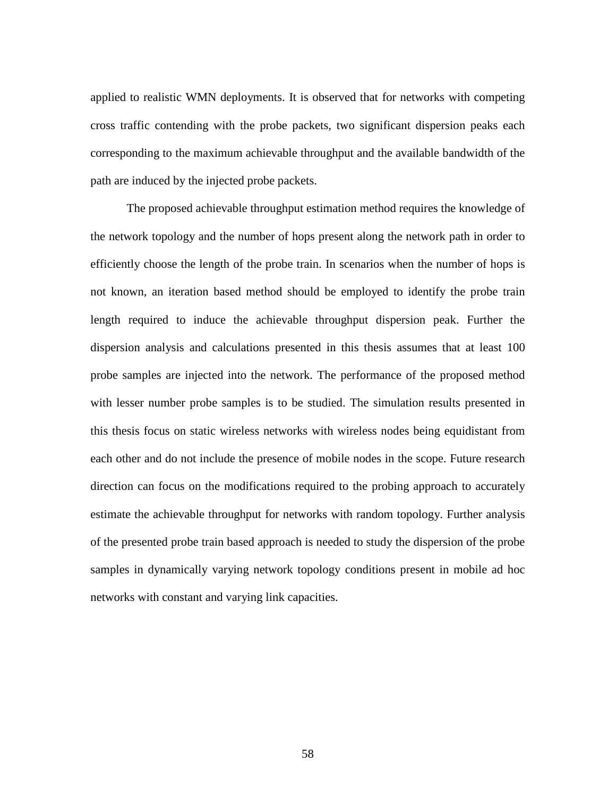applied to realistic WMN deployments. It is observed that for networks with competing cross traffic contending with the probe packets, two significant dispersion peaks each corresponding to the maximum achievable throughput and the available bandwidth of the path are induced by the injected probe packets.

The proposed achievable throughput estimation method requires the knowledge of the network topology and the number of hops present along the network path in order to efficiently choose the length of the probe train. In scenarios when the number of hops is not known, an iteration based method should be employed to identify the probe train length required to induce the achievable throughput dispersion peak. Further the dispersion analysis and calculations presented in this thesis assumes that at least 100 probe samples are injected into the network. The performance of the proposed method with lesser number probe samples is to be studied. The simulation results presented in this thesis focus on static wireless networks with wireless nodes being equidistant from each other and do not include the presence of mobile nodes in the scope. Future research direction can focus on the modifications required to the probing approach to accurately estimate the achievable throughput for networks with random topology. Further analysis of the presented probe train based approach is needed to study the dispersion of the probe samples in dynamically varying network topology conditions present in mobile ad hoc networks with constant and varying link capacities.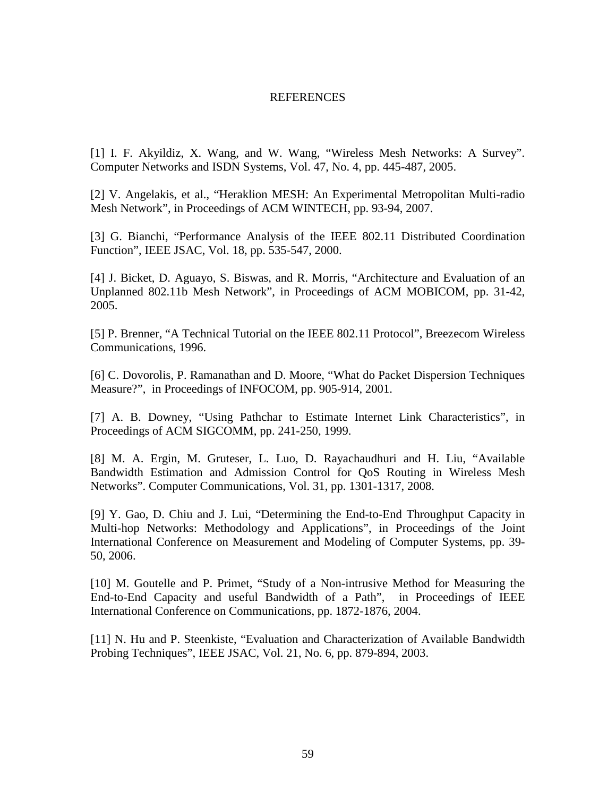# REFERENCES

[1] I. F. Akyildiz, X. Wang, and W. Wang, "Wireless Mesh Networks: A Survey". Computer Networks and ISDN Systems, Vol. 47, No. 4, pp. 445-487, 2005.

[2] V. Angelakis, et al., "Heraklion MESH: An Experimental Metropolitan Multi-radio Mesh Network", in Proceedings of ACM WINTECH, pp. 93-94, 2007.

[3] G. Bianchi, "Performance Analysis of the IEEE 802.11 Distributed Coordination Function", IEEE JSAC, Vol. 18, pp. 535-547, 2000.

[4] J. Bicket, D. Aguayo, S. Biswas, and R. Morris, "Architecture and Evaluation of an Unplanned 802.11b Mesh Network", in Proceedings of ACM MOBICOM, pp. 31-42, 2005.

[5] P. Brenner, "A Technical Tutorial on the IEEE 802.11 Protocol", Breezecom Wireless Communications, 1996.

[6] C. Dovorolis, P. Ramanathan and D. Moore, "What do Packet Dispersion Techniques Measure?", in Proceedings of INFOCOM, pp. 905-914, 2001.

[7] A. B. Downey, "Using Pathchar to Estimate Internet Link Characteristics", in Proceedings of ACM SIGCOMM, pp. 241-250, 1999.

[8] M. A. Ergin, M. Gruteser, L. Luo, D. Rayachaudhuri and H. Liu, "Available Bandwidth Estimation and Admission Control for QoS Routing in Wireless Mesh Networks". Computer Communications, Vol. 31, pp. 1301-1317, 2008.

[9] Y. Gao, D. Chiu and J. Lui, "Determining the End-to-End Throughput Capacity in Multi-hop Networks: Methodology and Applications", in Proceedings of the Joint International Conference on Measurement and Modeling of Computer Systems, pp. 39- 50, 2006.

[10] M. Goutelle and P. Primet, "Study of a Non-intrusive Method for Measuring the End-to-End Capacity and useful Bandwidth of a Path", in Proceedings of IEEE International Conference on Communications, pp. 1872-1876, 2004.

[11] N. Hu and P. Steenkiste, "Evaluation and Characterization of Available Bandwidth Probing Techniques", IEEE JSAC, Vol. 21, No. 6, pp. 879-894, 2003.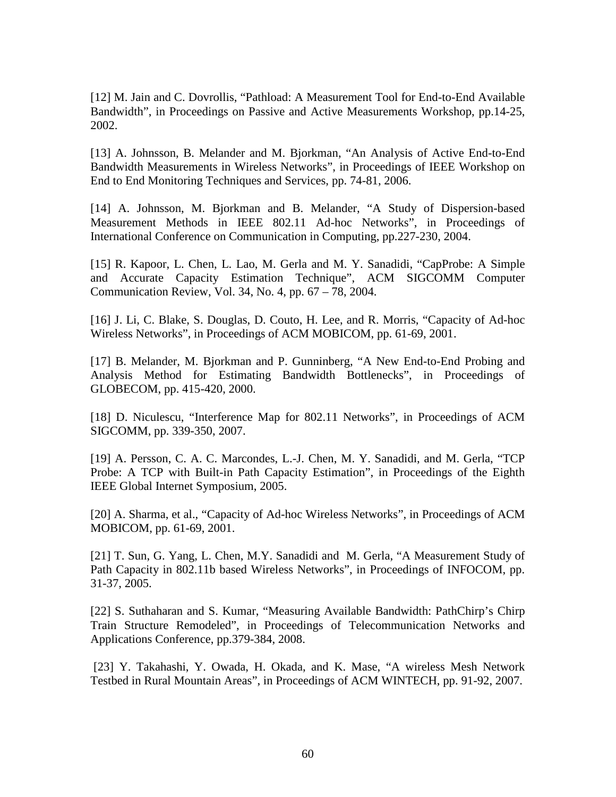[12] M. Jain and C. Dovrollis, "Pathload: A Measurement Tool for End-to-End Available Bandwidth", in Proceedings on Passive and Active Measurements Workshop, pp.14-25, 2002.

[13] A. Johnsson, B. Melander and M. Bjorkman, "An Analysis of Active End-to-End Bandwidth Measurements in Wireless Networks", in Proceedings of IEEE Workshop on End to End Monitoring Techniques and Services, pp. 74-81, 2006.

[14] A. Johnsson, M. Bjorkman and B. Melander, "A Study of Dispersion-based Measurement Methods in IEEE 802.11 Ad-hoc Networks", in Proceedings of International Conference on Communication in Computing, pp.227-230, 2004.

[15] R. Kapoor, L. Chen, L. Lao, M. Gerla and M. Y. Sanadidi, "CapProbe: A Simple and Accurate Capacity Estimation Technique", ACM SIGCOMM Computer Communication Review, Vol. 34, No. 4, pp. 67 – 78, 2004.

[16] J. Li, C. Blake, S. Douglas, D. Couto, H. Lee, and R. Morris, "Capacity of Ad-hoc Wireless Networks", in Proceedings of ACM MOBICOM, pp. 61-69, 2001.

[17] B. Melander, M. Bjorkman and P. Gunninberg, "A New End-to-End Probing and Analysis Method for Estimating Bandwidth Bottlenecks", in Proceedings of GLOBECOM, pp. 415-420, 2000.

[18] D. Niculescu, "Interference Map for 802.11 Networks", in Proceedings of ACM SIGCOMM, pp. 339-350, 2007.

[19] A. Persson, C. A. C. Marcondes, L.-J. Chen, M. Y. Sanadidi, and M. Gerla, "TCP Probe: A TCP with Built-in Path Capacity Estimation", in Proceedings of the Eighth IEEE Global Internet Symposium, 2005.

[20] A. Sharma, et al., "Capacity of Ad-hoc Wireless Networks", in Proceedings of ACM MOBICOM, pp. 61-69, 2001.

[21] T. Sun, G. Yang, L. Chen, M.Y. Sanadidi and M. Gerla, "A Measurement Study of Path Capacity in 802.11b based Wireless Networks", in Proceedings of INFOCOM, pp. 31-37, 2005.

[22] S. Suthaharan and S. Kumar, "Measuring Available Bandwidth: PathChirp's Chirp Train Structure Remodeled", in Proceedings of Telecommunication Networks and Applications Conference, pp.379-384, 2008.

 [23] Y. Takahashi, Y. Owada, H. Okada, and K. Mase, "A wireless Mesh Network Testbed in Rural Mountain Areas", in Proceedings of ACM WINTECH, pp. 91-92, 2007.